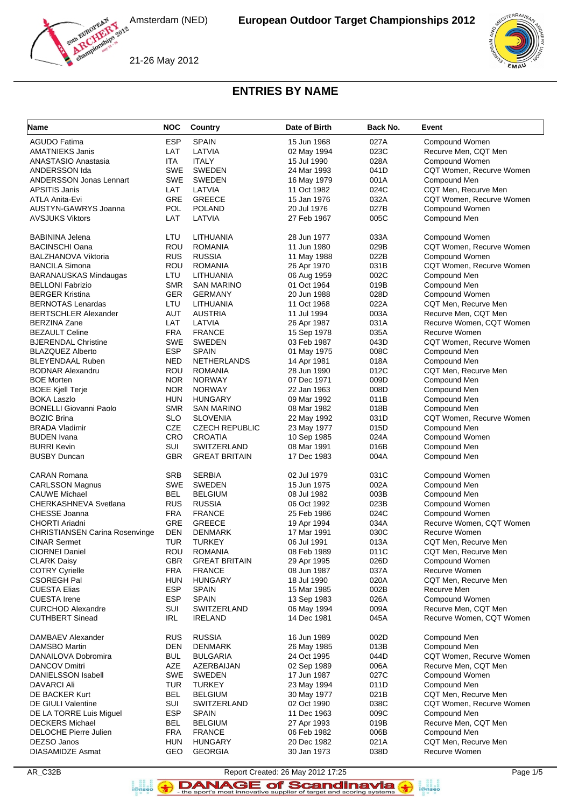

21-26 May 2012



#### **ENTRIES BY NAME**

| <b>AGUDO Fatima</b><br><b>ESP</b><br><b>SPAIN</b><br>027A<br>15 Jun 1968<br>Compound Women<br>LAT<br>LATVIA<br>023C<br>Recurve Men, CQT Men<br><b>AMATNIEKS Janis</b><br>02 May 1994<br>028A<br><b>ANASTASIO Anastasia</b><br>ITA<br><b>ITALY</b><br>15 Jul 1990<br>Compound Women<br><b>SWE</b><br><b>SWEDEN</b><br>ANDERSSON Ida<br>24 Mar 1993<br>041D<br>CQT Women, Recurve Women<br><b>ANDERSSON Jonas Lennart</b><br><b>SWE</b><br><b>SWEDEN</b><br>Compound Men<br>16 May 1979<br>001A<br>024C<br><b>APSITIS Janis</b><br>LAT<br>LATVIA<br>11 Oct 1982<br>CQT Men, Recurve Men<br><b>GRE</b><br><b>GREECE</b><br>CQT Women, Recurve Women<br>ATLA Anita-Evi<br>15 Jan 1976<br>032A<br>POL<br>027B<br>AUSTYN-GAWRYS Joanna<br><b>POLAND</b><br>Compound Women<br>20 Jul 1976<br>005C<br><b>AVSJUKS Viktors</b><br>LAT<br>LATVIA<br>27 Feb 1967<br>Compound Men<br>LTU<br>LITHUANIA<br>28 Jun 1977<br>033A<br>Compound Women<br><b>BABININA Jelena</b><br>ROU<br><b>BACINSCHI Oana</b><br><b>ROMANIA</b><br>11 Jun 1980<br>029B<br>CQT Women, Recurve Women<br><b>RUS</b><br><b>RUSSIA</b><br>022B<br><b>BALZHANOVA Viktoria</b><br>Compound Women<br>11 May 1988<br>ROU<br>CQT Women, Recurve Women<br><b>BANCILA Simona</b><br><b>ROMANIA</b><br>26 Apr 1970<br>031B<br>LTU<br>002C<br>Compound Men<br><b>BARANAUSKAS Mindaugas</b><br>LITHUANIA<br>06 Aug 1959<br><b>SMR</b><br><b>SAN MARINO</b><br>01 Oct 1964<br>019B<br>Compound Men<br><b>BELLONI Fabrizio</b><br><b>BERGER Kristina</b><br><b>GER</b><br><b>GERMANY</b><br>20 Jun 1988<br>028D<br>Compound Women<br>LTU<br><b>BERNOTAS Lenardas</b><br>LITHUANIA<br>022A<br>CQT Men, Recurve Men<br>11 Oct 1968<br><b>BERTSCHLER Alexander</b><br><b>AUT</b><br><b>AUSTRIA</b><br>11 Jul 1994<br>003A<br>Recurve Men, CQT Men<br>LAT<br><b>BERZINA Zane</b><br>LATVIA<br>26 Apr 1987<br>031A<br>Recurve Women, CQT Women<br><b>FRA</b><br><b>BEZAULT Celine</b><br><b>FRANCE</b><br>15 Sep 1978<br>035A<br>Recurve Women<br><b>BJERENDAL Christine</b><br><b>SWE</b><br><b>SWEDEN</b><br>03 Feb 1987<br>043D<br>CQT Women, Recurve Women<br><b>ESP</b><br><b>BLAZQUEZ Alberto</b><br><b>SPAIN</b><br>008C<br>Compound Men<br>01 May 1975<br><b>NED</b><br><b>BLEYENDAAL Ruben</b><br><b>NETHERLANDS</b><br>018A<br>Compound Men<br>14 Apr 1981<br>ROU<br><b>BODNAR Alexandru</b><br><b>ROMANIA</b><br>28 Jun 1990<br>012C<br>CQT Men, Recurve Men<br><b>NOR</b><br>009D<br><b>BOE Morten</b><br><b>NORWAY</b><br>07 Dec 1971<br>Compound Men<br><b>NOR</b><br><b>NORWAY</b><br><b>BOEE Kjell Terje</b><br>22 Jan 1963<br>008D<br>Compound Men<br><b>HUN</b><br><b>HUNGARY</b><br>Compound Men<br><b>BOKA Laszlo</b><br>09 Mar 1992<br>011B<br><b>SMR</b><br><b>BONELLI Giovanni Paolo</b><br><b>SAN MARINO</b><br>08 Mar 1982<br>018B<br>Compound Men<br><b>SLO</b><br>CQT Women, Recurve Women<br><b>BOZIC Brina</b><br><b>SLOVENIA</b><br>031D<br>22 May 1992<br><b>CZE</b><br><b>CZECH REPUBLIC</b><br>015D<br>Compound Men<br><b>BRADA Vladimir</b><br>23 May 1977<br>CRO<br><b>BUDEN</b> Ivana<br><b>CROATIA</b><br>10 Sep 1985<br>024A<br>Compound Women<br>SUI<br>SWITZERLAND<br><b>BURRI Kevin</b><br>08 Mar 1991<br>016B<br>Compound Men<br><b>GBR</b><br><b>BUSBY Duncan</b><br><b>GREAT BRITAIN</b><br>004A<br>Compound Men<br>17 Dec 1983<br><b>CARAN Romana</b><br><b>SRB</b><br><b>SERBIA</b><br>02 Jul 1979<br>031C<br>Compound Women<br><b>SWE</b><br><b>SWEDEN</b><br>002A<br>Compound Men<br><b>CARLSSON Magnus</b><br>15 Jun 1975<br><b>CAUWE Michael</b><br>BEL<br><b>BELGIUM</b><br>08 Jul 1982<br>003B<br>Compound Men<br><b>RUS</b><br><b>RUSSIA</b><br><b>CHERKASHNEVA Svetlana</b><br>06 Oct 1992<br>023B<br>Compound Women<br><b>CHESSE Joanna</b><br><b>FRA</b><br><b>FRANCE</b><br>25 Feb 1986<br>024C<br>Compound Women<br>GRE<br><b>GREECE</b><br>CHORTI Ariadni<br>Recurve Women, CQT Women<br>19 Apr 1994<br>034A<br><b>DEN</b><br><b>DENMARK</b><br>030C<br>Recurve Women<br><b>CHRISTIANSEN Carina Rosenvinge</b><br>17 Mar 1991<br><b>TUR</b><br><b>CINAR Sermet</b><br><b>TURKEY</b><br>06 Jul 1991<br>013A<br>CQT Men, Recurve Men<br><b>CIORNEI Daniel</b><br><b>ROU</b><br><b>ROMANIA</b><br>011C<br>CQT Men, Recurve Men<br>08 Feb 1989<br><b>GBR</b><br><b>GREAT BRITAIN</b><br>026D<br>Compound Women<br><b>CLARK Daisy</b><br>29 Apr 1995<br><b>COTRY Cyrielle</b><br><b>FRA</b><br><b>FRANCE</b><br>037A<br>Recurve Women<br>08 Jun 1987<br><b>CSOREGH Pal</b><br><b>HUN</b><br>020A<br>CQT Men, Recurve Men<br><b>HUNGARY</b><br>18 Jul 1990<br><b>ESP</b><br><b>CUESTA Elias</b><br><b>SPAIN</b><br>002B<br>Recurve Men<br>15 Mar 1985<br>ESP<br><b>CUESTA Irene</b><br><b>SPAIN</b><br>026A<br>Compound Women<br>13 Sep 1983<br>SUI<br><b>CURCHOD Alexandre</b><br>SWITZERLAND<br>009A<br>Recurve Men, CQT Men<br>06 May 1994<br><b>CUTHBERT Sinead</b><br>IRL<br>14 Dec 1981<br>Recurve Women, CQT Women<br><b>IRELAND</b><br>045A<br><b>RUS</b><br><b>RUSSIA</b><br>DAMBAEV Alexander<br>16 Jun 1989<br>002D<br>Compound Men<br><b>DAMSBO Martin</b><br><b>DEN</b><br><b>DENMARK</b><br>013B<br>Compound Men<br>26 May 1985<br>CQT Women, Recurve Women<br>DANAILOVA Dobromira<br><b>BUL</b><br><b>BULGARIA</b><br>044D<br>24 Oct 1995<br><b>AZE</b><br><b>DANCOV Dmitri</b><br>AZERBAIJAN<br>006A<br>Recurve Men, CQT Men<br>02 Sep 1989<br>SWE<br>Compound Women<br>DANIELSSON Isabell<br>SWEDEN<br>17 Jun 1987<br>027C<br><b>DAVARCI Ali</b><br><b>TUR</b><br><b>TURKEY</b><br>011D<br>Compound Men<br>23 May 1994<br><b>BEL</b><br>DE BACKER Kurt<br><b>BELGIUM</b><br>021B<br>CQT Men, Recurve Men<br>30 May 1977<br>SUI<br>038C<br>CQT Women, Recurve Women<br>DE GIULI Valentine<br>SWITZERLAND<br>02 Oct 1990<br><b>ESP</b><br>009C<br><b>SPAIN</b><br>11 Dec 1963<br>Compound Men<br>DE LA TORRE Luis Miguel<br><b>DECKERS Michael</b><br><b>BEL</b><br><b>BELGIUM</b><br>Recurve Men, CQT Men<br>27 Apr 1993<br>019B<br><b>DELOCHE Pierre Julien</b><br><b>FRA</b><br>Compound Men<br><b>FRANCE</b><br>06 Feb 1982<br>006B<br>DEZSO Janos<br><b>HUN</b><br><b>HUNGARY</b><br>021A<br>CQT Men, Recurve Men<br>20 Dec 1982 | Name                    | <b>NOC</b> | Country        | Date of Birth | Back No. | Event         |
|---------------------------------------------------------------------------------------------------------------------------------------------------------------------------------------------------------------------------------------------------------------------------------------------------------------------------------------------------------------------------------------------------------------------------------------------------------------------------------------------------------------------------------------------------------------------------------------------------------------------------------------------------------------------------------------------------------------------------------------------------------------------------------------------------------------------------------------------------------------------------------------------------------------------------------------------------------------------------------------------------------------------------------------------------------------------------------------------------------------------------------------------------------------------------------------------------------------------------------------------------------------------------------------------------------------------------------------------------------------------------------------------------------------------------------------------------------------------------------------------------------------------------------------------------------------------------------------------------------------------------------------------------------------------------------------------------------------------------------------------------------------------------------------------------------------------------------------------------------------------------------------------------------------------------------------------------------------------------------------------------------------------------------------------------------------------------------------------------------------------------------------------------------------------------------------------------------------------------------------------------------------------------------------------------------------------------------------------------------------------------------------------------------------------------------------------------------------------------------------------------------------------------------------------------------------------------------------------------------------------------------------------------------------------------------------------------------------------------------------------------------------------------------------------------------------------------------------------------------------------------------------------------------------------------------------------------------------------------------------------------------------------------------------------------------------------------------------------------------------------------------------------------------------------------------------------------------------------------------------------------------------------------------------------------------------------------------------------------------------------------------------------------------------------------------------------------------------------------------------------------------------------------------------------------------------------------------------------------------------------------------------------------------------------------------------------------------------------------------------------------------------------------------------------------------------------------------------------------------------------------------------------------------------------------------------------------------------------------------------------------------------------------------------------------------------------------------------------------------------------------------------------------------------------------------------------------------------------------------------------------------------------------------------------------------------------------------------------------------------------------------------------------------------------------------------------------------------------------------------------------------------------------------------------------------------------------------------------------------------------------------------------------------------------------------------------------------------------------------------------------------------------------------------------------------------------------------------------------------------------------------------------------------------------------------------------------------------------------------------------------------------------------------------------------------------------------------------------------------------------------------------------------------------------------------------------------------------------------------------------------------------------------------------------------------------------------------------------------------------------------------------------------------------------------------------------------------------------------------------------------------------------------------------------------------------------------------------------------------------------------------------------------------------------------------------------------------------------------------------------------------------------------------------------------------------------------------------------------------------------------------------------------------------------------------------------------------------------------------------------------------------------------------------------------------------------------------------------------------------------------------------------------|-------------------------|------------|----------------|---------------|----------|---------------|
|                                                                                                                                                                                                                                                                                                                                                                                                                                                                                                                                                                                                                                                                                                                                                                                                                                                                                                                                                                                                                                                                                                                                                                                                                                                                                                                                                                                                                                                                                                                                                                                                                                                                                                                                                                                                                                                                                                                                                                                                                                                                                                                                                                                                                                                                                                                                                                                                                                                                                                                                                                                                                                                                                                                                                                                                                                                                                                                                                                                                                                                                                                                                                                                                                                                                                                                                                                                                                                                                                                                                                                                                                                                                                                                                                                                                                                                                                                                                                                                                                                                                                                                                                                                                                                                                                                                                                                                                                                                                                                                                                                                                                                                                                                                                                                                                                                                                                                                                                                                                                                                                                                                                                                                                                                                                                                                                                                                                                                                                                                                                                                                                                                                                                                                                                                                                                                                                                                                                                                                                                                                                                                                                                   |                         |            |                |               |          |               |
|                                                                                                                                                                                                                                                                                                                                                                                                                                                                                                                                                                                                                                                                                                                                                                                                                                                                                                                                                                                                                                                                                                                                                                                                                                                                                                                                                                                                                                                                                                                                                                                                                                                                                                                                                                                                                                                                                                                                                                                                                                                                                                                                                                                                                                                                                                                                                                                                                                                                                                                                                                                                                                                                                                                                                                                                                                                                                                                                                                                                                                                                                                                                                                                                                                                                                                                                                                                                                                                                                                                                                                                                                                                                                                                                                                                                                                                                                                                                                                                                                                                                                                                                                                                                                                                                                                                                                                                                                                                                                                                                                                                                                                                                                                                                                                                                                                                                                                                                                                                                                                                                                                                                                                                                                                                                                                                                                                                                                                                                                                                                                                                                                                                                                                                                                                                                                                                                                                                                                                                                                                                                                                                                                   |                         |            |                |               |          |               |
|                                                                                                                                                                                                                                                                                                                                                                                                                                                                                                                                                                                                                                                                                                                                                                                                                                                                                                                                                                                                                                                                                                                                                                                                                                                                                                                                                                                                                                                                                                                                                                                                                                                                                                                                                                                                                                                                                                                                                                                                                                                                                                                                                                                                                                                                                                                                                                                                                                                                                                                                                                                                                                                                                                                                                                                                                                                                                                                                                                                                                                                                                                                                                                                                                                                                                                                                                                                                                                                                                                                                                                                                                                                                                                                                                                                                                                                                                                                                                                                                                                                                                                                                                                                                                                                                                                                                                                                                                                                                                                                                                                                                                                                                                                                                                                                                                                                                                                                                                                                                                                                                                                                                                                                                                                                                                                                                                                                                                                                                                                                                                                                                                                                                                                                                                                                                                                                                                                                                                                                                                                                                                                                                                   |                         |            |                |               |          |               |
|                                                                                                                                                                                                                                                                                                                                                                                                                                                                                                                                                                                                                                                                                                                                                                                                                                                                                                                                                                                                                                                                                                                                                                                                                                                                                                                                                                                                                                                                                                                                                                                                                                                                                                                                                                                                                                                                                                                                                                                                                                                                                                                                                                                                                                                                                                                                                                                                                                                                                                                                                                                                                                                                                                                                                                                                                                                                                                                                                                                                                                                                                                                                                                                                                                                                                                                                                                                                                                                                                                                                                                                                                                                                                                                                                                                                                                                                                                                                                                                                                                                                                                                                                                                                                                                                                                                                                                                                                                                                                                                                                                                                                                                                                                                                                                                                                                                                                                                                                                                                                                                                                                                                                                                                                                                                                                                                                                                                                                                                                                                                                                                                                                                                                                                                                                                                                                                                                                                                                                                                                                                                                                                                                   |                         |            |                |               |          |               |
|                                                                                                                                                                                                                                                                                                                                                                                                                                                                                                                                                                                                                                                                                                                                                                                                                                                                                                                                                                                                                                                                                                                                                                                                                                                                                                                                                                                                                                                                                                                                                                                                                                                                                                                                                                                                                                                                                                                                                                                                                                                                                                                                                                                                                                                                                                                                                                                                                                                                                                                                                                                                                                                                                                                                                                                                                                                                                                                                                                                                                                                                                                                                                                                                                                                                                                                                                                                                                                                                                                                                                                                                                                                                                                                                                                                                                                                                                                                                                                                                                                                                                                                                                                                                                                                                                                                                                                                                                                                                                                                                                                                                                                                                                                                                                                                                                                                                                                                                                                                                                                                                                                                                                                                                                                                                                                                                                                                                                                                                                                                                                                                                                                                                                                                                                                                                                                                                                                                                                                                                                                                                                                                                                   |                         |            |                |               |          |               |
|                                                                                                                                                                                                                                                                                                                                                                                                                                                                                                                                                                                                                                                                                                                                                                                                                                                                                                                                                                                                                                                                                                                                                                                                                                                                                                                                                                                                                                                                                                                                                                                                                                                                                                                                                                                                                                                                                                                                                                                                                                                                                                                                                                                                                                                                                                                                                                                                                                                                                                                                                                                                                                                                                                                                                                                                                                                                                                                                                                                                                                                                                                                                                                                                                                                                                                                                                                                                                                                                                                                                                                                                                                                                                                                                                                                                                                                                                                                                                                                                                                                                                                                                                                                                                                                                                                                                                                                                                                                                                                                                                                                                                                                                                                                                                                                                                                                                                                                                                                                                                                                                                                                                                                                                                                                                                                                                                                                                                                                                                                                                                                                                                                                                                                                                                                                                                                                                                                                                                                                                                                                                                                                                                   |                         |            |                |               |          |               |
|                                                                                                                                                                                                                                                                                                                                                                                                                                                                                                                                                                                                                                                                                                                                                                                                                                                                                                                                                                                                                                                                                                                                                                                                                                                                                                                                                                                                                                                                                                                                                                                                                                                                                                                                                                                                                                                                                                                                                                                                                                                                                                                                                                                                                                                                                                                                                                                                                                                                                                                                                                                                                                                                                                                                                                                                                                                                                                                                                                                                                                                                                                                                                                                                                                                                                                                                                                                                                                                                                                                                                                                                                                                                                                                                                                                                                                                                                                                                                                                                                                                                                                                                                                                                                                                                                                                                                                                                                                                                                                                                                                                                                                                                                                                                                                                                                                                                                                                                                                                                                                                                                                                                                                                                                                                                                                                                                                                                                                                                                                                                                                                                                                                                                                                                                                                                                                                                                                                                                                                                                                                                                                                                                   |                         |            |                |               |          |               |
|                                                                                                                                                                                                                                                                                                                                                                                                                                                                                                                                                                                                                                                                                                                                                                                                                                                                                                                                                                                                                                                                                                                                                                                                                                                                                                                                                                                                                                                                                                                                                                                                                                                                                                                                                                                                                                                                                                                                                                                                                                                                                                                                                                                                                                                                                                                                                                                                                                                                                                                                                                                                                                                                                                                                                                                                                                                                                                                                                                                                                                                                                                                                                                                                                                                                                                                                                                                                                                                                                                                                                                                                                                                                                                                                                                                                                                                                                                                                                                                                                                                                                                                                                                                                                                                                                                                                                                                                                                                                                                                                                                                                                                                                                                                                                                                                                                                                                                                                                                                                                                                                                                                                                                                                                                                                                                                                                                                                                                                                                                                                                                                                                                                                                                                                                                                                                                                                                                                                                                                                                                                                                                                                                   |                         |            |                |               |          |               |
|                                                                                                                                                                                                                                                                                                                                                                                                                                                                                                                                                                                                                                                                                                                                                                                                                                                                                                                                                                                                                                                                                                                                                                                                                                                                                                                                                                                                                                                                                                                                                                                                                                                                                                                                                                                                                                                                                                                                                                                                                                                                                                                                                                                                                                                                                                                                                                                                                                                                                                                                                                                                                                                                                                                                                                                                                                                                                                                                                                                                                                                                                                                                                                                                                                                                                                                                                                                                                                                                                                                                                                                                                                                                                                                                                                                                                                                                                                                                                                                                                                                                                                                                                                                                                                                                                                                                                                                                                                                                                                                                                                                                                                                                                                                                                                                                                                                                                                                                                                                                                                                                                                                                                                                                                                                                                                                                                                                                                                                                                                                                                                                                                                                                                                                                                                                                                                                                                                                                                                                                                                                                                                                                                   |                         |            |                |               |          |               |
|                                                                                                                                                                                                                                                                                                                                                                                                                                                                                                                                                                                                                                                                                                                                                                                                                                                                                                                                                                                                                                                                                                                                                                                                                                                                                                                                                                                                                                                                                                                                                                                                                                                                                                                                                                                                                                                                                                                                                                                                                                                                                                                                                                                                                                                                                                                                                                                                                                                                                                                                                                                                                                                                                                                                                                                                                                                                                                                                                                                                                                                                                                                                                                                                                                                                                                                                                                                                                                                                                                                                                                                                                                                                                                                                                                                                                                                                                                                                                                                                                                                                                                                                                                                                                                                                                                                                                                                                                                                                                                                                                                                                                                                                                                                                                                                                                                                                                                                                                                                                                                                                                                                                                                                                                                                                                                                                                                                                                                                                                                                                                                                                                                                                                                                                                                                                                                                                                                                                                                                                                                                                                                                                                   |                         |            |                |               |          |               |
|                                                                                                                                                                                                                                                                                                                                                                                                                                                                                                                                                                                                                                                                                                                                                                                                                                                                                                                                                                                                                                                                                                                                                                                                                                                                                                                                                                                                                                                                                                                                                                                                                                                                                                                                                                                                                                                                                                                                                                                                                                                                                                                                                                                                                                                                                                                                                                                                                                                                                                                                                                                                                                                                                                                                                                                                                                                                                                                                                                                                                                                                                                                                                                                                                                                                                                                                                                                                                                                                                                                                                                                                                                                                                                                                                                                                                                                                                                                                                                                                                                                                                                                                                                                                                                                                                                                                                                                                                                                                                                                                                                                                                                                                                                                                                                                                                                                                                                                                                                                                                                                                                                                                                                                                                                                                                                                                                                                                                                                                                                                                                                                                                                                                                                                                                                                                                                                                                                                                                                                                                                                                                                                                                   |                         |            |                |               |          |               |
|                                                                                                                                                                                                                                                                                                                                                                                                                                                                                                                                                                                                                                                                                                                                                                                                                                                                                                                                                                                                                                                                                                                                                                                                                                                                                                                                                                                                                                                                                                                                                                                                                                                                                                                                                                                                                                                                                                                                                                                                                                                                                                                                                                                                                                                                                                                                                                                                                                                                                                                                                                                                                                                                                                                                                                                                                                                                                                                                                                                                                                                                                                                                                                                                                                                                                                                                                                                                                                                                                                                                                                                                                                                                                                                                                                                                                                                                                                                                                                                                                                                                                                                                                                                                                                                                                                                                                                                                                                                                                                                                                                                                                                                                                                                                                                                                                                                                                                                                                                                                                                                                                                                                                                                                                                                                                                                                                                                                                                                                                                                                                                                                                                                                                                                                                                                                                                                                                                                                                                                                                                                                                                                                                   |                         |            |                |               |          |               |
|                                                                                                                                                                                                                                                                                                                                                                                                                                                                                                                                                                                                                                                                                                                                                                                                                                                                                                                                                                                                                                                                                                                                                                                                                                                                                                                                                                                                                                                                                                                                                                                                                                                                                                                                                                                                                                                                                                                                                                                                                                                                                                                                                                                                                                                                                                                                                                                                                                                                                                                                                                                                                                                                                                                                                                                                                                                                                                                                                                                                                                                                                                                                                                                                                                                                                                                                                                                                                                                                                                                                                                                                                                                                                                                                                                                                                                                                                                                                                                                                                                                                                                                                                                                                                                                                                                                                                                                                                                                                                                                                                                                                                                                                                                                                                                                                                                                                                                                                                                                                                                                                                                                                                                                                                                                                                                                                                                                                                                                                                                                                                                                                                                                                                                                                                                                                                                                                                                                                                                                                                                                                                                                                                   |                         |            |                |               |          |               |
|                                                                                                                                                                                                                                                                                                                                                                                                                                                                                                                                                                                                                                                                                                                                                                                                                                                                                                                                                                                                                                                                                                                                                                                                                                                                                                                                                                                                                                                                                                                                                                                                                                                                                                                                                                                                                                                                                                                                                                                                                                                                                                                                                                                                                                                                                                                                                                                                                                                                                                                                                                                                                                                                                                                                                                                                                                                                                                                                                                                                                                                                                                                                                                                                                                                                                                                                                                                                                                                                                                                                                                                                                                                                                                                                                                                                                                                                                                                                                                                                                                                                                                                                                                                                                                                                                                                                                                                                                                                                                                                                                                                                                                                                                                                                                                                                                                                                                                                                                                                                                                                                                                                                                                                                                                                                                                                                                                                                                                                                                                                                                                                                                                                                                                                                                                                                                                                                                                                                                                                                                                                                                                                                                   |                         |            |                |               |          |               |
|                                                                                                                                                                                                                                                                                                                                                                                                                                                                                                                                                                                                                                                                                                                                                                                                                                                                                                                                                                                                                                                                                                                                                                                                                                                                                                                                                                                                                                                                                                                                                                                                                                                                                                                                                                                                                                                                                                                                                                                                                                                                                                                                                                                                                                                                                                                                                                                                                                                                                                                                                                                                                                                                                                                                                                                                                                                                                                                                                                                                                                                                                                                                                                                                                                                                                                                                                                                                                                                                                                                                                                                                                                                                                                                                                                                                                                                                                                                                                                                                                                                                                                                                                                                                                                                                                                                                                                                                                                                                                                                                                                                                                                                                                                                                                                                                                                                                                                                                                                                                                                                                                                                                                                                                                                                                                                                                                                                                                                                                                                                                                                                                                                                                                                                                                                                                                                                                                                                                                                                                                                                                                                                                                   |                         |            |                |               |          |               |
|                                                                                                                                                                                                                                                                                                                                                                                                                                                                                                                                                                                                                                                                                                                                                                                                                                                                                                                                                                                                                                                                                                                                                                                                                                                                                                                                                                                                                                                                                                                                                                                                                                                                                                                                                                                                                                                                                                                                                                                                                                                                                                                                                                                                                                                                                                                                                                                                                                                                                                                                                                                                                                                                                                                                                                                                                                                                                                                                                                                                                                                                                                                                                                                                                                                                                                                                                                                                                                                                                                                                                                                                                                                                                                                                                                                                                                                                                                                                                                                                                                                                                                                                                                                                                                                                                                                                                                                                                                                                                                                                                                                                                                                                                                                                                                                                                                                                                                                                                                                                                                                                                                                                                                                                                                                                                                                                                                                                                                                                                                                                                                                                                                                                                                                                                                                                                                                                                                                                                                                                                                                                                                                                                   |                         |            |                |               |          |               |
|                                                                                                                                                                                                                                                                                                                                                                                                                                                                                                                                                                                                                                                                                                                                                                                                                                                                                                                                                                                                                                                                                                                                                                                                                                                                                                                                                                                                                                                                                                                                                                                                                                                                                                                                                                                                                                                                                                                                                                                                                                                                                                                                                                                                                                                                                                                                                                                                                                                                                                                                                                                                                                                                                                                                                                                                                                                                                                                                                                                                                                                                                                                                                                                                                                                                                                                                                                                                                                                                                                                                                                                                                                                                                                                                                                                                                                                                                                                                                                                                                                                                                                                                                                                                                                                                                                                                                                                                                                                                                                                                                                                                                                                                                                                                                                                                                                                                                                                                                                                                                                                                                                                                                                                                                                                                                                                                                                                                                                                                                                                                                                                                                                                                                                                                                                                                                                                                                                                                                                                                                                                                                                                                                   |                         |            |                |               |          |               |
|                                                                                                                                                                                                                                                                                                                                                                                                                                                                                                                                                                                                                                                                                                                                                                                                                                                                                                                                                                                                                                                                                                                                                                                                                                                                                                                                                                                                                                                                                                                                                                                                                                                                                                                                                                                                                                                                                                                                                                                                                                                                                                                                                                                                                                                                                                                                                                                                                                                                                                                                                                                                                                                                                                                                                                                                                                                                                                                                                                                                                                                                                                                                                                                                                                                                                                                                                                                                                                                                                                                                                                                                                                                                                                                                                                                                                                                                                                                                                                                                                                                                                                                                                                                                                                                                                                                                                                                                                                                                                                                                                                                                                                                                                                                                                                                                                                                                                                                                                                                                                                                                                                                                                                                                                                                                                                                                                                                                                                                                                                                                                                                                                                                                                                                                                                                                                                                                                                                                                                                                                                                                                                                                                   |                         |            |                |               |          |               |
|                                                                                                                                                                                                                                                                                                                                                                                                                                                                                                                                                                                                                                                                                                                                                                                                                                                                                                                                                                                                                                                                                                                                                                                                                                                                                                                                                                                                                                                                                                                                                                                                                                                                                                                                                                                                                                                                                                                                                                                                                                                                                                                                                                                                                                                                                                                                                                                                                                                                                                                                                                                                                                                                                                                                                                                                                                                                                                                                                                                                                                                                                                                                                                                                                                                                                                                                                                                                                                                                                                                                                                                                                                                                                                                                                                                                                                                                                                                                                                                                                                                                                                                                                                                                                                                                                                                                                                                                                                                                                                                                                                                                                                                                                                                                                                                                                                                                                                                                                                                                                                                                                                                                                                                                                                                                                                                                                                                                                                                                                                                                                                                                                                                                                                                                                                                                                                                                                                                                                                                                                                                                                                                                                   |                         |            |                |               |          |               |
|                                                                                                                                                                                                                                                                                                                                                                                                                                                                                                                                                                                                                                                                                                                                                                                                                                                                                                                                                                                                                                                                                                                                                                                                                                                                                                                                                                                                                                                                                                                                                                                                                                                                                                                                                                                                                                                                                                                                                                                                                                                                                                                                                                                                                                                                                                                                                                                                                                                                                                                                                                                                                                                                                                                                                                                                                                                                                                                                                                                                                                                                                                                                                                                                                                                                                                                                                                                                                                                                                                                                                                                                                                                                                                                                                                                                                                                                                                                                                                                                                                                                                                                                                                                                                                                                                                                                                                                                                                                                                                                                                                                                                                                                                                                                                                                                                                                                                                                                                                                                                                                                                                                                                                                                                                                                                                                                                                                                                                                                                                                                                                                                                                                                                                                                                                                                                                                                                                                                                                                                                                                                                                                                                   |                         |            |                |               |          |               |
|                                                                                                                                                                                                                                                                                                                                                                                                                                                                                                                                                                                                                                                                                                                                                                                                                                                                                                                                                                                                                                                                                                                                                                                                                                                                                                                                                                                                                                                                                                                                                                                                                                                                                                                                                                                                                                                                                                                                                                                                                                                                                                                                                                                                                                                                                                                                                                                                                                                                                                                                                                                                                                                                                                                                                                                                                                                                                                                                                                                                                                                                                                                                                                                                                                                                                                                                                                                                                                                                                                                                                                                                                                                                                                                                                                                                                                                                                                                                                                                                                                                                                                                                                                                                                                                                                                                                                                                                                                                                                                                                                                                                                                                                                                                                                                                                                                                                                                                                                                                                                                                                                                                                                                                                                                                                                                                                                                                                                                                                                                                                                                                                                                                                                                                                                                                                                                                                                                                                                                                                                                                                                                                                                   |                         |            |                |               |          |               |
|                                                                                                                                                                                                                                                                                                                                                                                                                                                                                                                                                                                                                                                                                                                                                                                                                                                                                                                                                                                                                                                                                                                                                                                                                                                                                                                                                                                                                                                                                                                                                                                                                                                                                                                                                                                                                                                                                                                                                                                                                                                                                                                                                                                                                                                                                                                                                                                                                                                                                                                                                                                                                                                                                                                                                                                                                                                                                                                                                                                                                                                                                                                                                                                                                                                                                                                                                                                                                                                                                                                                                                                                                                                                                                                                                                                                                                                                                                                                                                                                                                                                                                                                                                                                                                                                                                                                                                                                                                                                                                                                                                                                                                                                                                                                                                                                                                                                                                                                                                                                                                                                                                                                                                                                                                                                                                                                                                                                                                                                                                                                                                                                                                                                                                                                                                                                                                                                                                                                                                                                                                                                                                                                                   |                         |            |                |               |          |               |
|                                                                                                                                                                                                                                                                                                                                                                                                                                                                                                                                                                                                                                                                                                                                                                                                                                                                                                                                                                                                                                                                                                                                                                                                                                                                                                                                                                                                                                                                                                                                                                                                                                                                                                                                                                                                                                                                                                                                                                                                                                                                                                                                                                                                                                                                                                                                                                                                                                                                                                                                                                                                                                                                                                                                                                                                                                                                                                                                                                                                                                                                                                                                                                                                                                                                                                                                                                                                                                                                                                                                                                                                                                                                                                                                                                                                                                                                                                                                                                                                                                                                                                                                                                                                                                                                                                                                                                                                                                                                                                                                                                                                                                                                                                                                                                                                                                                                                                                                                                                                                                                                                                                                                                                                                                                                                                                                                                                                                                                                                                                                                                                                                                                                                                                                                                                                                                                                                                                                                                                                                                                                                                                                                   |                         |            |                |               |          |               |
|                                                                                                                                                                                                                                                                                                                                                                                                                                                                                                                                                                                                                                                                                                                                                                                                                                                                                                                                                                                                                                                                                                                                                                                                                                                                                                                                                                                                                                                                                                                                                                                                                                                                                                                                                                                                                                                                                                                                                                                                                                                                                                                                                                                                                                                                                                                                                                                                                                                                                                                                                                                                                                                                                                                                                                                                                                                                                                                                                                                                                                                                                                                                                                                                                                                                                                                                                                                                                                                                                                                                                                                                                                                                                                                                                                                                                                                                                                                                                                                                                                                                                                                                                                                                                                                                                                                                                                                                                                                                                                                                                                                                                                                                                                                                                                                                                                                                                                                                                                                                                                                                                                                                                                                                                                                                                                                                                                                                                                                                                                                                                                                                                                                                                                                                                                                                                                                                                                                                                                                                                                                                                                                                                   |                         |            |                |               |          |               |
|                                                                                                                                                                                                                                                                                                                                                                                                                                                                                                                                                                                                                                                                                                                                                                                                                                                                                                                                                                                                                                                                                                                                                                                                                                                                                                                                                                                                                                                                                                                                                                                                                                                                                                                                                                                                                                                                                                                                                                                                                                                                                                                                                                                                                                                                                                                                                                                                                                                                                                                                                                                                                                                                                                                                                                                                                                                                                                                                                                                                                                                                                                                                                                                                                                                                                                                                                                                                                                                                                                                                                                                                                                                                                                                                                                                                                                                                                                                                                                                                                                                                                                                                                                                                                                                                                                                                                                                                                                                                                                                                                                                                                                                                                                                                                                                                                                                                                                                                                                                                                                                                                                                                                                                                                                                                                                                                                                                                                                                                                                                                                                                                                                                                                                                                                                                                                                                                                                                                                                                                                                                                                                                                                   |                         |            |                |               |          |               |
|                                                                                                                                                                                                                                                                                                                                                                                                                                                                                                                                                                                                                                                                                                                                                                                                                                                                                                                                                                                                                                                                                                                                                                                                                                                                                                                                                                                                                                                                                                                                                                                                                                                                                                                                                                                                                                                                                                                                                                                                                                                                                                                                                                                                                                                                                                                                                                                                                                                                                                                                                                                                                                                                                                                                                                                                                                                                                                                                                                                                                                                                                                                                                                                                                                                                                                                                                                                                                                                                                                                                                                                                                                                                                                                                                                                                                                                                                                                                                                                                                                                                                                                                                                                                                                                                                                                                                                                                                                                                                                                                                                                                                                                                                                                                                                                                                                                                                                                                                                                                                                                                                                                                                                                                                                                                                                                                                                                                                                                                                                                                                                                                                                                                                                                                                                                                                                                                                                                                                                                                                                                                                                                                                   |                         |            |                |               |          |               |
|                                                                                                                                                                                                                                                                                                                                                                                                                                                                                                                                                                                                                                                                                                                                                                                                                                                                                                                                                                                                                                                                                                                                                                                                                                                                                                                                                                                                                                                                                                                                                                                                                                                                                                                                                                                                                                                                                                                                                                                                                                                                                                                                                                                                                                                                                                                                                                                                                                                                                                                                                                                                                                                                                                                                                                                                                                                                                                                                                                                                                                                                                                                                                                                                                                                                                                                                                                                                                                                                                                                                                                                                                                                                                                                                                                                                                                                                                                                                                                                                                                                                                                                                                                                                                                                                                                                                                                                                                                                                                                                                                                                                                                                                                                                                                                                                                                                                                                                                                                                                                                                                                                                                                                                                                                                                                                                                                                                                                                                                                                                                                                                                                                                                                                                                                                                                                                                                                                                                                                                                                                                                                                                                                   |                         |            |                |               |          |               |
|                                                                                                                                                                                                                                                                                                                                                                                                                                                                                                                                                                                                                                                                                                                                                                                                                                                                                                                                                                                                                                                                                                                                                                                                                                                                                                                                                                                                                                                                                                                                                                                                                                                                                                                                                                                                                                                                                                                                                                                                                                                                                                                                                                                                                                                                                                                                                                                                                                                                                                                                                                                                                                                                                                                                                                                                                                                                                                                                                                                                                                                                                                                                                                                                                                                                                                                                                                                                                                                                                                                                                                                                                                                                                                                                                                                                                                                                                                                                                                                                                                                                                                                                                                                                                                                                                                                                                                                                                                                                                                                                                                                                                                                                                                                                                                                                                                                                                                                                                                                                                                                                                                                                                                                                                                                                                                                                                                                                                                                                                                                                                                                                                                                                                                                                                                                                                                                                                                                                                                                                                                                                                                                                                   |                         |            |                |               |          |               |
|                                                                                                                                                                                                                                                                                                                                                                                                                                                                                                                                                                                                                                                                                                                                                                                                                                                                                                                                                                                                                                                                                                                                                                                                                                                                                                                                                                                                                                                                                                                                                                                                                                                                                                                                                                                                                                                                                                                                                                                                                                                                                                                                                                                                                                                                                                                                                                                                                                                                                                                                                                                                                                                                                                                                                                                                                                                                                                                                                                                                                                                                                                                                                                                                                                                                                                                                                                                                                                                                                                                                                                                                                                                                                                                                                                                                                                                                                                                                                                                                                                                                                                                                                                                                                                                                                                                                                                                                                                                                                                                                                                                                                                                                                                                                                                                                                                                                                                                                                                                                                                                                                                                                                                                                                                                                                                                                                                                                                                                                                                                                                                                                                                                                                                                                                                                                                                                                                                                                                                                                                                                                                                                                                   |                         |            |                |               |          |               |
|                                                                                                                                                                                                                                                                                                                                                                                                                                                                                                                                                                                                                                                                                                                                                                                                                                                                                                                                                                                                                                                                                                                                                                                                                                                                                                                                                                                                                                                                                                                                                                                                                                                                                                                                                                                                                                                                                                                                                                                                                                                                                                                                                                                                                                                                                                                                                                                                                                                                                                                                                                                                                                                                                                                                                                                                                                                                                                                                                                                                                                                                                                                                                                                                                                                                                                                                                                                                                                                                                                                                                                                                                                                                                                                                                                                                                                                                                                                                                                                                                                                                                                                                                                                                                                                                                                                                                                                                                                                                                                                                                                                                                                                                                                                                                                                                                                                                                                                                                                                                                                                                                                                                                                                                                                                                                                                                                                                                                                                                                                                                                                                                                                                                                                                                                                                                                                                                                                                                                                                                                                                                                                                                                   |                         |            |                |               |          |               |
|                                                                                                                                                                                                                                                                                                                                                                                                                                                                                                                                                                                                                                                                                                                                                                                                                                                                                                                                                                                                                                                                                                                                                                                                                                                                                                                                                                                                                                                                                                                                                                                                                                                                                                                                                                                                                                                                                                                                                                                                                                                                                                                                                                                                                                                                                                                                                                                                                                                                                                                                                                                                                                                                                                                                                                                                                                                                                                                                                                                                                                                                                                                                                                                                                                                                                                                                                                                                                                                                                                                                                                                                                                                                                                                                                                                                                                                                                                                                                                                                                                                                                                                                                                                                                                                                                                                                                                                                                                                                                                                                                                                                                                                                                                                                                                                                                                                                                                                                                                                                                                                                                                                                                                                                                                                                                                                                                                                                                                                                                                                                                                                                                                                                                                                                                                                                                                                                                                                                                                                                                                                                                                                                                   |                         |            |                |               |          |               |
|                                                                                                                                                                                                                                                                                                                                                                                                                                                                                                                                                                                                                                                                                                                                                                                                                                                                                                                                                                                                                                                                                                                                                                                                                                                                                                                                                                                                                                                                                                                                                                                                                                                                                                                                                                                                                                                                                                                                                                                                                                                                                                                                                                                                                                                                                                                                                                                                                                                                                                                                                                                                                                                                                                                                                                                                                                                                                                                                                                                                                                                                                                                                                                                                                                                                                                                                                                                                                                                                                                                                                                                                                                                                                                                                                                                                                                                                                                                                                                                                                                                                                                                                                                                                                                                                                                                                                                                                                                                                                                                                                                                                                                                                                                                                                                                                                                                                                                                                                                                                                                                                                                                                                                                                                                                                                                                                                                                                                                                                                                                                                                                                                                                                                                                                                                                                                                                                                                                                                                                                                                                                                                                                                   |                         |            |                |               |          |               |
|                                                                                                                                                                                                                                                                                                                                                                                                                                                                                                                                                                                                                                                                                                                                                                                                                                                                                                                                                                                                                                                                                                                                                                                                                                                                                                                                                                                                                                                                                                                                                                                                                                                                                                                                                                                                                                                                                                                                                                                                                                                                                                                                                                                                                                                                                                                                                                                                                                                                                                                                                                                                                                                                                                                                                                                                                                                                                                                                                                                                                                                                                                                                                                                                                                                                                                                                                                                                                                                                                                                                                                                                                                                                                                                                                                                                                                                                                                                                                                                                                                                                                                                                                                                                                                                                                                                                                                                                                                                                                                                                                                                                                                                                                                                                                                                                                                                                                                                                                                                                                                                                                                                                                                                                                                                                                                                                                                                                                                                                                                                                                                                                                                                                                                                                                                                                                                                                                                                                                                                                                                                                                                                                                   |                         |            |                |               |          |               |
|                                                                                                                                                                                                                                                                                                                                                                                                                                                                                                                                                                                                                                                                                                                                                                                                                                                                                                                                                                                                                                                                                                                                                                                                                                                                                                                                                                                                                                                                                                                                                                                                                                                                                                                                                                                                                                                                                                                                                                                                                                                                                                                                                                                                                                                                                                                                                                                                                                                                                                                                                                                                                                                                                                                                                                                                                                                                                                                                                                                                                                                                                                                                                                                                                                                                                                                                                                                                                                                                                                                                                                                                                                                                                                                                                                                                                                                                                                                                                                                                                                                                                                                                                                                                                                                                                                                                                                                                                                                                                                                                                                                                                                                                                                                                                                                                                                                                                                                                                                                                                                                                                                                                                                                                                                                                                                                                                                                                                                                                                                                                                                                                                                                                                                                                                                                                                                                                                                                                                                                                                                                                                                                                                   |                         |            |                |               |          |               |
|                                                                                                                                                                                                                                                                                                                                                                                                                                                                                                                                                                                                                                                                                                                                                                                                                                                                                                                                                                                                                                                                                                                                                                                                                                                                                                                                                                                                                                                                                                                                                                                                                                                                                                                                                                                                                                                                                                                                                                                                                                                                                                                                                                                                                                                                                                                                                                                                                                                                                                                                                                                                                                                                                                                                                                                                                                                                                                                                                                                                                                                                                                                                                                                                                                                                                                                                                                                                                                                                                                                                                                                                                                                                                                                                                                                                                                                                                                                                                                                                                                                                                                                                                                                                                                                                                                                                                                                                                                                                                                                                                                                                                                                                                                                                                                                                                                                                                                                                                                                                                                                                                                                                                                                                                                                                                                                                                                                                                                                                                                                                                                                                                                                                                                                                                                                                                                                                                                                                                                                                                                                                                                                                                   |                         |            |                |               |          |               |
|                                                                                                                                                                                                                                                                                                                                                                                                                                                                                                                                                                                                                                                                                                                                                                                                                                                                                                                                                                                                                                                                                                                                                                                                                                                                                                                                                                                                                                                                                                                                                                                                                                                                                                                                                                                                                                                                                                                                                                                                                                                                                                                                                                                                                                                                                                                                                                                                                                                                                                                                                                                                                                                                                                                                                                                                                                                                                                                                                                                                                                                                                                                                                                                                                                                                                                                                                                                                                                                                                                                                                                                                                                                                                                                                                                                                                                                                                                                                                                                                                                                                                                                                                                                                                                                                                                                                                                                                                                                                                                                                                                                                                                                                                                                                                                                                                                                                                                                                                                                                                                                                                                                                                                                                                                                                                                                                                                                                                                                                                                                                                                                                                                                                                                                                                                                                                                                                                                                                                                                                                                                                                                                                                   |                         |            |                |               |          |               |
|                                                                                                                                                                                                                                                                                                                                                                                                                                                                                                                                                                                                                                                                                                                                                                                                                                                                                                                                                                                                                                                                                                                                                                                                                                                                                                                                                                                                                                                                                                                                                                                                                                                                                                                                                                                                                                                                                                                                                                                                                                                                                                                                                                                                                                                                                                                                                                                                                                                                                                                                                                                                                                                                                                                                                                                                                                                                                                                                                                                                                                                                                                                                                                                                                                                                                                                                                                                                                                                                                                                                                                                                                                                                                                                                                                                                                                                                                                                                                                                                                                                                                                                                                                                                                                                                                                                                                                                                                                                                                                                                                                                                                                                                                                                                                                                                                                                                                                                                                                                                                                                                                                                                                                                                                                                                                                                                                                                                                                                                                                                                                                                                                                                                                                                                                                                                                                                                                                                                                                                                                                                                                                                                                   |                         |            |                |               |          |               |
|                                                                                                                                                                                                                                                                                                                                                                                                                                                                                                                                                                                                                                                                                                                                                                                                                                                                                                                                                                                                                                                                                                                                                                                                                                                                                                                                                                                                                                                                                                                                                                                                                                                                                                                                                                                                                                                                                                                                                                                                                                                                                                                                                                                                                                                                                                                                                                                                                                                                                                                                                                                                                                                                                                                                                                                                                                                                                                                                                                                                                                                                                                                                                                                                                                                                                                                                                                                                                                                                                                                                                                                                                                                                                                                                                                                                                                                                                                                                                                                                                                                                                                                                                                                                                                                                                                                                                                                                                                                                                                                                                                                                                                                                                                                                                                                                                                                                                                                                                                                                                                                                                                                                                                                                                                                                                                                                                                                                                                                                                                                                                                                                                                                                                                                                                                                                                                                                                                                                                                                                                                                                                                                                                   |                         |            |                |               |          |               |
|                                                                                                                                                                                                                                                                                                                                                                                                                                                                                                                                                                                                                                                                                                                                                                                                                                                                                                                                                                                                                                                                                                                                                                                                                                                                                                                                                                                                                                                                                                                                                                                                                                                                                                                                                                                                                                                                                                                                                                                                                                                                                                                                                                                                                                                                                                                                                                                                                                                                                                                                                                                                                                                                                                                                                                                                                                                                                                                                                                                                                                                                                                                                                                                                                                                                                                                                                                                                                                                                                                                                                                                                                                                                                                                                                                                                                                                                                                                                                                                                                                                                                                                                                                                                                                                                                                                                                                                                                                                                                                                                                                                                                                                                                                                                                                                                                                                                                                                                                                                                                                                                                                                                                                                                                                                                                                                                                                                                                                                                                                                                                                                                                                                                                                                                                                                                                                                                                                                                                                                                                                                                                                                                                   |                         |            |                |               |          |               |
|                                                                                                                                                                                                                                                                                                                                                                                                                                                                                                                                                                                                                                                                                                                                                                                                                                                                                                                                                                                                                                                                                                                                                                                                                                                                                                                                                                                                                                                                                                                                                                                                                                                                                                                                                                                                                                                                                                                                                                                                                                                                                                                                                                                                                                                                                                                                                                                                                                                                                                                                                                                                                                                                                                                                                                                                                                                                                                                                                                                                                                                                                                                                                                                                                                                                                                                                                                                                                                                                                                                                                                                                                                                                                                                                                                                                                                                                                                                                                                                                                                                                                                                                                                                                                                                                                                                                                                                                                                                                                                                                                                                                                                                                                                                                                                                                                                                                                                                                                                                                                                                                                                                                                                                                                                                                                                                                                                                                                                                                                                                                                                                                                                                                                                                                                                                                                                                                                                                                                                                                                                                                                                                                                   |                         |            |                |               |          |               |
|                                                                                                                                                                                                                                                                                                                                                                                                                                                                                                                                                                                                                                                                                                                                                                                                                                                                                                                                                                                                                                                                                                                                                                                                                                                                                                                                                                                                                                                                                                                                                                                                                                                                                                                                                                                                                                                                                                                                                                                                                                                                                                                                                                                                                                                                                                                                                                                                                                                                                                                                                                                                                                                                                                                                                                                                                                                                                                                                                                                                                                                                                                                                                                                                                                                                                                                                                                                                                                                                                                                                                                                                                                                                                                                                                                                                                                                                                                                                                                                                                                                                                                                                                                                                                                                                                                                                                                                                                                                                                                                                                                                                                                                                                                                                                                                                                                                                                                                                                                                                                                                                                                                                                                                                                                                                                                                                                                                                                                                                                                                                                                                                                                                                                                                                                                                                                                                                                                                                                                                                                                                                                                                                                   |                         |            |                |               |          |               |
|                                                                                                                                                                                                                                                                                                                                                                                                                                                                                                                                                                                                                                                                                                                                                                                                                                                                                                                                                                                                                                                                                                                                                                                                                                                                                                                                                                                                                                                                                                                                                                                                                                                                                                                                                                                                                                                                                                                                                                                                                                                                                                                                                                                                                                                                                                                                                                                                                                                                                                                                                                                                                                                                                                                                                                                                                                                                                                                                                                                                                                                                                                                                                                                                                                                                                                                                                                                                                                                                                                                                                                                                                                                                                                                                                                                                                                                                                                                                                                                                                                                                                                                                                                                                                                                                                                                                                                                                                                                                                                                                                                                                                                                                                                                                                                                                                                                                                                                                                                                                                                                                                                                                                                                                                                                                                                                                                                                                                                                                                                                                                                                                                                                                                                                                                                                                                                                                                                                                                                                                                                                                                                                                                   |                         |            |                |               |          |               |
|                                                                                                                                                                                                                                                                                                                                                                                                                                                                                                                                                                                                                                                                                                                                                                                                                                                                                                                                                                                                                                                                                                                                                                                                                                                                                                                                                                                                                                                                                                                                                                                                                                                                                                                                                                                                                                                                                                                                                                                                                                                                                                                                                                                                                                                                                                                                                                                                                                                                                                                                                                                                                                                                                                                                                                                                                                                                                                                                                                                                                                                                                                                                                                                                                                                                                                                                                                                                                                                                                                                                                                                                                                                                                                                                                                                                                                                                                                                                                                                                                                                                                                                                                                                                                                                                                                                                                                                                                                                                                                                                                                                                                                                                                                                                                                                                                                                                                                                                                                                                                                                                                                                                                                                                                                                                                                                                                                                                                                                                                                                                                                                                                                                                                                                                                                                                                                                                                                                                                                                                                                                                                                                                                   |                         |            |                |               |          |               |
|                                                                                                                                                                                                                                                                                                                                                                                                                                                                                                                                                                                                                                                                                                                                                                                                                                                                                                                                                                                                                                                                                                                                                                                                                                                                                                                                                                                                                                                                                                                                                                                                                                                                                                                                                                                                                                                                                                                                                                                                                                                                                                                                                                                                                                                                                                                                                                                                                                                                                                                                                                                                                                                                                                                                                                                                                                                                                                                                                                                                                                                                                                                                                                                                                                                                                                                                                                                                                                                                                                                                                                                                                                                                                                                                                                                                                                                                                                                                                                                                                                                                                                                                                                                                                                                                                                                                                                                                                                                                                                                                                                                                                                                                                                                                                                                                                                                                                                                                                                                                                                                                                                                                                                                                                                                                                                                                                                                                                                                                                                                                                                                                                                                                                                                                                                                                                                                                                                                                                                                                                                                                                                                                                   |                         |            |                |               |          |               |
|                                                                                                                                                                                                                                                                                                                                                                                                                                                                                                                                                                                                                                                                                                                                                                                                                                                                                                                                                                                                                                                                                                                                                                                                                                                                                                                                                                                                                                                                                                                                                                                                                                                                                                                                                                                                                                                                                                                                                                                                                                                                                                                                                                                                                                                                                                                                                                                                                                                                                                                                                                                                                                                                                                                                                                                                                                                                                                                                                                                                                                                                                                                                                                                                                                                                                                                                                                                                                                                                                                                                                                                                                                                                                                                                                                                                                                                                                                                                                                                                                                                                                                                                                                                                                                                                                                                                                                                                                                                                                                                                                                                                                                                                                                                                                                                                                                                                                                                                                                                                                                                                                                                                                                                                                                                                                                                                                                                                                                                                                                                                                                                                                                                                                                                                                                                                                                                                                                                                                                                                                                                                                                                                                   |                         |            |                |               |          |               |
|                                                                                                                                                                                                                                                                                                                                                                                                                                                                                                                                                                                                                                                                                                                                                                                                                                                                                                                                                                                                                                                                                                                                                                                                                                                                                                                                                                                                                                                                                                                                                                                                                                                                                                                                                                                                                                                                                                                                                                                                                                                                                                                                                                                                                                                                                                                                                                                                                                                                                                                                                                                                                                                                                                                                                                                                                                                                                                                                                                                                                                                                                                                                                                                                                                                                                                                                                                                                                                                                                                                                                                                                                                                                                                                                                                                                                                                                                                                                                                                                                                                                                                                                                                                                                                                                                                                                                                                                                                                                                                                                                                                                                                                                                                                                                                                                                                                                                                                                                                                                                                                                                                                                                                                                                                                                                                                                                                                                                                                                                                                                                                                                                                                                                                                                                                                                                                                                                                                                                                                                                                                                                                                                                   |                         |            |                |               |          |               |
|                                                                                                                                                                                                                                                                                                                                                                                                                                                                                                                                                                                                                                                                                                                                                                                                                                                                                                                                                                                                                                                                                                                                                                                                                                                                                                                                                                                                                                                                                                                                                                                                                                                                                                                                                                                                                                                                                                                                                                                                                                                                                                                                                                                                                                                                                                                                                                                                                                                                                                                                                                                                                                                                                                                                                                                                                                                                                                                                                                                                                                                                                                                                                                                                                                                                                                                                                                                                                                                                                                                                                                                                                                                                                                                                                                                                                                                                                                                                                                                                                                                                                                                                                                                                                                                                                                                                                                                                                                                                                                                                                                                                                                                                                                                                                                                                                                                                                                                                                                                                                                                                                                                                                                                                                                                                                                                                                                                                                                                                                                                                                                                                                                                                                                                                                                                                                                                                                                                                                                                                                                                                                                                                                   |                         |            |                |               |          |               |
|                                                                                                                                                                                                                                                                                                                                                                                                                                                                                                                                                                                                                                                                                                                                                                                                                                                                                                                                                                                                                                                                                                                                                                                                                                                                                                                                                                                                                                                                                                                                                                                                                                                                                                                                                                                                                                                                                                                                                                                                                                                                                                                                                                                                                                                                                                                                                                                                                                                                                                                                                                                                                                                                                                                                                                                                                                                                                                                                                                                                                                                                                                                                                                                                                                                                                                                                                                                                                                                                                                                                                                                                                                                                                                                                                                                                                                                                                                                                                                                                                                                                                                                                                                                                                                                                                                                                                                                                                                                                                                                                                                                                                                                                                                                                                                                                                                                                                                                                                                                                                                                                                                                                                                                                                                                                                                                                                                                                                                                                                                                                                                                                                                                                                                                                                                                                                                                                                                                                                                                                                                                                                                                                                   |                         |            |                |               |          |               |
|                                                                                                                                                                                                                                                                                                                                                                                                                                                                                                                                                                                                                                                                                                                                                                                                                                                                                                                                                                                                                                                                                                                                                                                                                                                                                                                                                                                                                                                                                                                                                                                                                                                                                                                                                                                                                                                                                                                                                                                                                                                                                                                                                                                                                                                                                                                                                                                                                                                                                                                                                                                                                                                                                                                                                                                                                                                                                                                                                                                                                                                                                                                                                                                                                                                                                                                                                                                                                                                                                                                                                                                                                                                                                                                                                                                                                                                                                                                                                                                                                                                                                                                                                                                                                                                                                                                                                                                                                                                                                                                                                                                                                                                                                                                                                                                                                                                                                                                                                                                                                                                                                                                                                                                                                                                                                                                                                                                                                                                                                                                                                                                                                                                                                                                                                                                                                                                                                                                                                                                                                                                                                                                                                   |                         |            |                |               |          |               |
|                                                                                                                                                                                                                                                                                                                                                                                                                                                                                                                                                                                                                                                                                                                                                                                                                                                                                                                                                                                                                                                                                                                                                                                                                                                                                                                                                                                                                                                                                                                                                                                                                                                                                                                                                                                                                                                                                                                                                                                                                                                                                                                                                                                                                                                                                                                                                                                                                                                                                                                                                                                                                                                                                                                                                                                                                                                                                                                                                                                                                                                                                                                                                                                                                                                                                                                                                                                                                                                                                                                                                                                                                                                                                                                                                                                                                                                                                                                                                                                                                                                                                                                                                                                                                                                                                                                                                                                                                                                                                                                                                                                                                                                                                                                                                                                                                                                                                                                                                                                                                                                                                                                                                                                                                                                                                                                                                                                                                                                                                                                                                                                                                                                                                                                                                                                                                                                                                                                                                                                                                                                                                                                                                   |                         |            |                |               |          |               |
|                                                                                                                                                                                                                                                                                                                                                                                                                                                                                                                                                                                                                                                                                                                                                                                                                                                                                                                                                                                                                                                                                                                                                                                                                                                                                                                                                                                                                                                                                                                                                                                                                                                                                                                                                                                                                                                                                                                                                                                                                                                                                                                                                                                                                                                                                                                                                                                                                                                                                                                                                                                                                                                                                                                                                                                                                                                                                                                                                                                                                                                                                                                                                                                                                                                                                                                                                                                                                                                                                                                                                                                                                                                                                                                                                                                                                                                                                                                                                                                                                                                                                                                                                                                                                                                                                                                                                                                                                                                                                                                                                                                                                                                                                                                                                                                                                                                                                                                                                                                                                                                                                                                                                                                                                                                                                                                                                                                                                                                                                                                                                                                                                                                                                                                                                                                                                                                                                                                                                                                                                                                                                                                                                   |                         |            |                |               |          |               |
|                                                                                                                                                                                                                                                                                                                                                                                                                                                                                                                                                                                                                                                                                                                                                                                                                                                                                                                                                                                                                                                                                                                                                                                                                                                                                                                                                                                                                                                                                                                                                                                                                                                                                                                                                                                                                                                                                                                                                                                                                                                                                                                                                                                                                                                                                                                                                                                                                                                                                                                                                                                                                                                                                                                                                                                                                                                                                                                                                                                                                                                                                                                                                                                                                                                                                                                                                                                                                                                                                                                                                                                                                                                                                                                                                                                                                                                                                                                                                                                                                                                                                                                                                                                                                                                                                                                                                                                                                                                                                                                                                                                                                                                                                                                                                                                                                                                                                                                                                                                                                                                                                                                                                                                                                                                                                                                                                                                                                                                                                                                                                                                                                                                                                                                                                                                                                                                                                                                                                                                                                                                                                                                                                   |                         |            |                |               |          |               |
|                                                                                                                                                                                                                                                                                                                                                                                                                                                                                                                                                                                                                                                                                                                                                                                                                                                                                                                                                                                                                                                                                                                                                                                                                                                                                                                                                                                                                                                                                                                                                                                                                                                                                                                                                                                                                                                                                                                                                                                                                                                                                                                                                                                                                                                                                                                                                                                                                                                                                                                                                                                                                                                                                                                                                                                                                                                                                                                                                                                                                                                                                                                                                                                                                                                                                                                                                                                                                                                                                                                                                                                                                                                                                                                                                                                                                                                                                                                                                                                                                                                                                                                                                                                                                                                                                                                                                                                                                                                                                                                                                                                                                                                                                                                                                                                                                                                                                                                                                                                                                                                                                                                                                                                                                                                                                                                                                                                                                                                                                                                                                                                                                                                                                                                                                                                                                                                                                                                                                                                                                                                                                                                                                   |                         |            |                |               |          |               |
|                                                                                                                                                                                                                                                                                                                                                                                                                                                                                                                                                                                                                                                                                                                                                                                                                                                                                                                                                                                                                                                                                                                                                                                                                                                                                                                                                                                                                                                                                                                                                                                                                                                                                                                                                                                                                                                                                                                                                                                                                                                                                                                                                                                                                                                                                                                                                                                                                                                                                                                                                                                                                                                                                                                                                                                                                                                                                                                                                                                                                                                                                                                                                                                                                                                                                                                                                                                                                                                                                                                                                                                                                                                                                                                                                                                                                                                                                                                                                                                                                                                                                                                                                                                                                                                                                                                                                                                                                                                                                                                                                                                                                                                                                                                                                                                                                                                                                                                                                                                                                                                                                                                                                                                                                                                                                                                                                                                                                                                                                                                                                                                                                                                                                                                                                                                                                                                                                                                                                                                                                                                                                                                                                   |                         |            |                |               |          |               |
|                                                                                                                                                                                                                                                                                                                                                                                                                                                                                                                                                                                                                                                                                                                                                                                                                                                                                                                                                                                                                                                                                                                                                                                                                                                                                                                                                                                                                                                                                                                                                                                                                                                                                                                                                                                                                                                                                                                                                                                                                                                                                                                                                                                                                                                                                                                                                                                                                                                                                                                                                                                                                                                                                                                                                                                                                                                                                                                                                                                                                                                                                                                                                                                                                                                                                                                                                                                                                                                                                                                                                                                                                                                                                                                                                                                                                                                                                                                                                                                                                                                                                                                                                                                                                                                                                                                                                                                                                                                                                                                                                                                                                                                                                                                                                                                                                                                                                                                                                                                                                                                                                                                                                                                                                                                                                                                                                                                                                                                                                                                                                                                                                                                                                                                                                                                                                                                                                                                                                                                                                                                                                                                                                   |                         |            |                |               |          |               |
|                                                                                                                                                                                                                                                                                                                                                                                                                                                                                                                                                                                                                                                                                                                                                                                                                                                                                                                                                                                                                                                                                                                                                                                                                                                                                                                                                                                                                                                                                                                                                                                                                                                                                                                                                                                                                                                                                                                                                                                                                                                                                                                                                                                                                                                                                                                                                                                                                                                                                                                                                                                                                                                                                                                                                                                                                                                                                                                                                                                                                                                                                                                                                                                                                                                                                                                                                                                                                                                                                                                                                                                                                                                                                                                                                                                                                                                                                                                                                                                                                                                                                                                                                                                                                                                                                                                                                                                                                                                                                                                                                                                                                                                                                                                                                                                                                                                                                                                                                                                                                                                                                                                                                                                                                                                                                                                                                                                                                                                                                                                                                                                                                                                                                                                                                                                                                                                                                                                                                                                                                                                                                                                                                   |                         |            |                |               |          |               |
|                                                                                                                                                                                                                                                                                                                                                                                                                                                                                                                                                                                                                                                                                                                                                                                                                                                                                                                                                                                                                                                                                                                                                                                                                                                                                                                                                                                                                                                                                                                                                                                                                                                                                                                                                                                                                                                                                                                                                                                                                                                                                                                                                                                                                                                                                                                                                                                                                                                                                                                                                                                                                                                                                                                                                                                                                                                                                                                                                                                                                                                                                                                                                                                                                                                                                                                                                                                                                                                                                                                                                                                                                                                                                                                                                                                                                                                                                                                                                                                                                                                                                                                                                                                                                                                                                                                                                                                                                                                                                                                                                                                                                                                                                                                                                                                                                                                                                                                                                                                                                                                                                                                                                                                                                                                                                                                                                                                                                                                                                                                                                                                                                                                                                                                                                                                                                                                                                                                                                                                                                                                                                                                                                   |                         |            |                |               |          |               |
|                                                                                                                                                                                                                                                                                                                                                                                                                                                                                                                                                                                                                                                                                                                                                                                                                                                                                                                                                                                                                                                                                                                                                                                                                                                                                                                                                                                                                                                                                                                                                                                                                                                                                                                                                                                                                                                                                                                                                                                                                                                                                                                                                                                                                                                                                                                                                                                                                                                                                                                                                                                                                                                                                                                                                                                                                                                                                                                                                                                                                                                                                                                                                                                                                                                                                                                                                                                                                                                                                                                                                                                                                                                                                                                                                                                                                                                                                                                                                                                                                                                                                                                                                                                                                                                                                                                                                                                                                                                                                                                                                                                                                                                                                                                                                                                                                                                                                                                                                                                                                                                                                                                                                                                                                                                                                                                                                                                                                                                                                                                                                                                                                                                                                                                                                                                                                                                                                                                                                                                                                                                                                                                                                   |                         |            |                |               |          |               |
|                                                                                                                                                                                                                                                                                                                                                                                                                                                                                                                                                                                                                                                                                                                                                                                                                                                                                                                                                                                                                                                                                                                                                                                                                                                                                                                                                                                                                                                                                                                                                                                                                                                                                                                                                                                                                                                                                                                                                                                                                                                                                                                                                                                                                                                                                                                                                                                                                                                                                                                                                                                                                                                                                                                                                                                                                                                                                                                                                                                                                                                                                                                                                                                                                                                                                                                                                                                                                                                                                                                                                                                                                                                                                                                                                                                                                                                                                                                                                                                                                                                                                                                                                                                                                                                                                                                                                                                                                                                                                                                                                                                                                                                                                                                                                                                                                                                                                                                                                                                                                                                                                                                                                                                                                                                                                                                                                                                                                                                                                                                                                                                                                                                                                                                                                                                                                                                                                                                                                                                                                                                                                                                                                   |                         |            |                |               |          |               |
|                                                                                                                                                                                                                                                                                                                                                                                                                                                                                                                                                                                                                                                                                                                                                                                                                                                                                                                                                                                                                                                                                                                                                                                                                                                                                                                                                                                                                                                                                                                                                                                                                                                                                                                                                                                                                                                                                                                                                                                                                                                                                                                                                                                                                                                                                                                                                                                                                                                                                                                                                                                                                                                                                                                                                                                                                                                                                                                                                                                                                                                                                                                                                                                                                                                                                                                                                                                                                                                                                                                                                                                                                                                                                                                                                                                                                                                                                                                                                                                                                                                                                                                                                                                                                                                                                                                                                                                                                                                                                                                                                                                                                                                                                                                                                                                                                                                                                                                                                                                                                                                                                                                                                                                                                                                                                                                                                                                                                                                                                                                                                                                                                                                                                                                                                                                                                                                                                                                                                                                                                                                                                                                                                   |                         |            |                |               |          |               |
|                                                                                                                                                                                                                                                                                                                                                                                                                                                                                                                                                                                                                                                                                                                                                                                                                                                                                                                                                                                                                                                                                                                                                                                                                                                                                                                                                                                                                                                                                                                                                                                                                                                                                                                                                                                                                                                                                                                                                                                                                                                                                                                                                                                                                                                                                                                                                                                                                                                                                                                                                                                                                                                                                                                                                                                                                                                                                                                                                                                                                                                                                                                                                                                                                                                                                                                                                                                                                                                                                                                                                                                                                                                                                                                                                                                                                                                                                                                                                                                                                                                                                                                                                                                                                                                                                                                                                                                                                                                                                                                                                                                                                                                                                                                                                                                                                                                                                                                                                                                                                                                                                                                                                                                                                                                                                                                                                                                                                                                                                                                                                                                                                                                                                                                                                                                                                                                                                                                                                                                                                                                                                                                                                   |                         |            |                |               |          |               |
|                                                                                                                                                                                                                                                                                                                                                                                                                                                                                                                                                                                                                                                                                                                                                                                                                                                                                                                                                                                                                                                                                                                                                                                                                                                                                                                                                                                                                                                                                                                                                                                                                                                                                                                                                                                                                                                                                                                                                                                                                                                                                                                                                                                                                                                                                                                                                                                                                                                                                                                                                                                                                                                                                                                                                                                                                                                                                                                                                                                                                                                                                                                                                                                                                                                                                                                                                                                                                                                                                                                                                                                                                                                                                                                                                                                                                                                                                                                                                                                                                                                                                                                                                                                                                                                                                                                                                                                                                                                                                                                                                                                                                                                                                                                                                                                                                                                                                                                                                                                                                                                                                                                                                                                                                                                                                                                                                                                                                                                                                                                                                                                                                                                                                                                                                                                                                                                                                                                                                                                                                                                                                                                                                   |                         |            |                |               |          |               |
|                                                                                                                                                                                                                                                                                                                                                                                                                                                                                                                                                                                                                                                                                                                                                                                                                                                                                                                                                                                                                                                                                                                                                                                                                                                                                                                                                                                                                                                                                                                                                                                                                                                                                                                                                                                                                                                                                                                                                                                                                                                                                                                                                                                                                                                                                                                                                                                                                                                                                                                                                                                                                                                                                                                                                                                                                                                                                                                                                                                                                                                                                                                                                                                                                                                                                                                                                                                                                                                                                                                                                                                                                                                                                                                                                                                                                                                                                                                                                                                                                                                                                                                                                                                                                                                                                                                                                                                                                                                                                                                                                                                                                                                                                                                                                                                                                                                                                                                                                                                                                                                                                                                                                                                                                                                                                                                                                                                                                                                                                                                                                                                                                                                                                                                                                                                                                                                                                                                                                                                                                                                                                                                                                   | <b>DIASAMIDZE Asmat</b> | GEO        | <b>GEORGIA</b> | 30 Jan 1973   | 038D     | Recurve Women |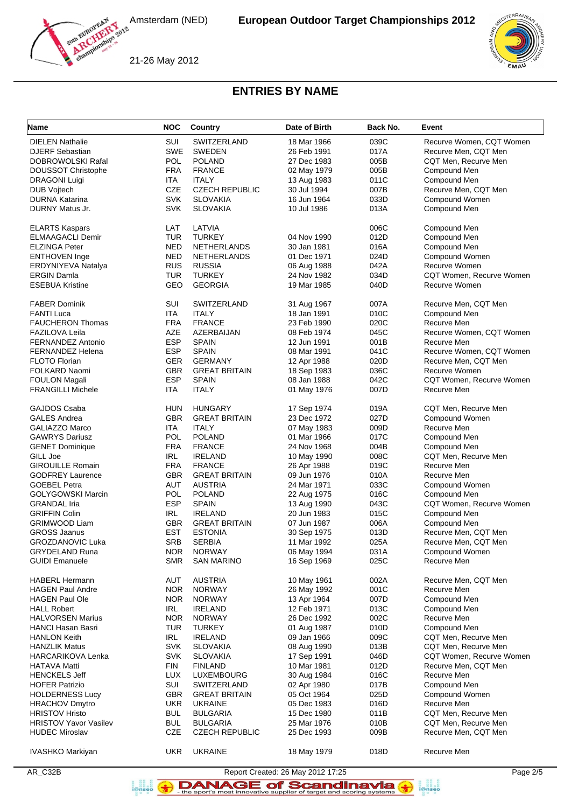





21-26 May 2012

# **ENTRIES BY NAME**

|                              |            |                       | Date of Birth | Back No. |                          |
|------------------------------|------------|-----------------------|---------------|----------|--------------------------|
| Name                         | <b>NOC</b> | Country               |               |          | Event                    |
| <b>DIELEN Nathalie</b>       | SUI        | SWITZERLAND           | 18 Mar 1966   | 039C     | Recurve Women, CQT Women |
| <b>DJERF Sebastian</b>       | <b>SWE</b> | <b>SWEDEN</b>         | 26 Feb 1991   | 017A     | Recurve Men, CQT Men     |
| DOBROWOLSKI Rafal            | <b>POL</b> | <b>POLAND</b>         | 27 Dec 1983   | 005B     | CQT Men, Recurve Men     |
| DOUSSOT Christophe           | <b>FRA</b> | <b>FRANCE</b>         | 02 May 1979   | 005B     | Compound Men             |
| <b>DRAGONI Luigi</b>         | ITA        | <b>ITALY</b>          | 13 Aug 1983   | 011C     | Compound Men             |
| <b>DUB Vojtech</b>           | <b>CZE</b> | <b>CZECH REPUBLIC</b> | 30 Jul 1994   | 007B     | Recurve Men, CQT Men     |
| <b>DURNA Katarina</b>        | <b>SVK</b> | <b>SLOVAKIA</b>       | 16 Jun 1964   | 033D     | Compound Women           |
| DURNY Matus Jr.              | <b>SVK</b> | <b>SLOVAKIA</b>       | 10 Jul 1986   | 013A     | Compound Men             |
|                              |            |                       |               |          |                          |
| <b>ELARTS Kaspars</b>        | LAT        | LATVIA                |               | 006C     | Compound Men             |
| <b>ELMAAGACLI Demir</b>      | <b>TUR</b> | <b>TURKEY</b>         | 04 Nov 1990   | 012D     | Compound Men             |
| <b>ELZINGA Peter</b>         | NED        | <b>NETHERLANDS</b>    | 30 Jan 1981   | 016A     | Compound Men             |
| <b>ENTHOVEN</b> Inge         | <b>NED</b> | <b>NETHERLANDS</b>    | 01 Dec 1971   | 024D     | Compound Women           |
| ERDYNIYEVA Natalya           | <b>RUS</b> | <b>RUSSIA</b>         | 06 Aug 1988   | 042A     | Recurve Women            |
| <b>ERGIN Damla</b>           | TUR        | <b>TURKEY</b>         | 24 Nov 1982   | 034D     | CQT Women, Recurve Women |
| <b>ESEBUA Kristine</b>       | GEO        | <b>GEORGIA</b>        | 19 Mar 1985   | 040D     | Recurve Women            |
|                              |            |                       |               |          |                          |
| <b>FABER Dominik</b>         | SUI        | SWITZERLAND           | 31 Aug 1967   | 007A     | Recurve Men, CQT Men     |
| <b>FANTI Luca</b>            | <b>ITA</b> | <b>ITALY</b>          | 18 Jan 1991   | 010C     | Compound Men             |
| <b>FAUCHERON Thomas</b>      | <b>FRA</b> | <b>FRANCE</b>         | 23 Feb 1990   | 020C     | Recurve Men              |
| <b>FAZILOVA Leila</b>        | AZE        | AZERBAIJAN            | 08 Feb 1974   | 045C     | Recurve Women, CQT Women |
| FERNANDEZ Antonio            | <b>ESP</b> | <b>SPAIN</b>          | 12 Jun 1991   | 001B     | Recurve Men              |
| <b>FERNANDEZ Helena</b>      | <b>ESP</b> | <b>SPAIN</b>          | 08 Mar 1991   | 041C     | Recurve Women, CQT Women |
| <b>FLOTO Florian</b>         | <b>GER</b> | <b>GERMANY</b>        | 12 Apr 1988   | 020D     | Recurve Men, CQT Men     |
| FOLKARD Naomi                | <b>GBR</b> | <b>GREAT BRITAIN</b>  | 18 Sep 1983   | 036C     | Recurve Women            |
| <b>FOULON Magali</b>         | <b>ESP</b> | <b>SPAIN</b>          | 08 Jan 1988   | 042C     | CQT Women, Recurve Women |
| <b>FRANGILLI Michele</b>     | <b>ITA</b> | <b>ITALY</b>          | 01 May 1976   | 007D     | Recurve Men              |
|                              |            |                       |               |          |                          |
| GAJDOS Csaba                 | HUN        | <b>HUNGARY</b>        | 17 Sep 1974   | 019A     | CQT Men, Recurve Men     |
| <b>GALES Andrea</b>          | <b>GBR</b> | <b>GREAT BRITAIN</b>  | 23 Dec 1972   | 027D     | Compound Women           |
| <b>GALIAZZO Marco</b>        | ITA        | <b>ITALY</b>          | 07 May 1983   | 009D     | Recurve Men              |
| <b>GAWRYS Dariusz</b>        | <b>POL</b> | <b>POLAND</b>         | 01 Mar 1966   | 017C     | Compound Men             |
| <b>GENET Dominique</b>       | <b>FRA</b> | <b>FRANCE</b>         | 24 Nov 1968   | 004B     | Compound Men             |
| GILL Joe                     | IRL        | <b>IRELAND</b>        | 10 May 1990   | 008C     | CQT Men, Recurve Men     |
| <b>GIROUILLE Romain</b>      | <b>FRA</b> | <b>FRANCE</b>         | 26 Apr 1988   | 019C     | Recurve Men              |
| <b>GODFREY Laurence</b>      | <b>GBR</b> | <b>GREAT BRITAIN</b>  | 09 Jun 1976   | 010A     | Recurve Men              |
| <b>GOEBEL Petra</b>          | AUT        | <b>AUSTRIA</b>        | 24 Mar 1971   | 033C     | Compound Women           |
| <b>GOLYGOWSKI Marcin</b>     | POL        | <b>POLAND</b>         | 22 Aug 1975   | 016C     | Compound Men             |
| <b>GRANDAL Iria</b>          | <b>ESP</b> | <b>SPAIN</b>          | 13 Aug 1990   | 043C     | CQT Women, Recurve Women |
| <b>GRIFFIN Colin</b>         |            | <b>IRELAND</b>        |               |          |                          |
|                              | IRL        |                       | 20 Jun 1983   | 015C     | Compound Men             |
| <b>GRIMWOOD Liam</b>         | GBR        | <b>GREAT BRITAIN</b>  | 07 Jun 1987   | 006A     | Compound Men             |
| <b>GROSS Jaanus</b>          | <b>EST</b> | <b>ESTONIA</b>        | 30 Sep 1975   | 013D     | Recurve Men, CQT Men     |
| <b>GROZDANOVIC Luka</b>      | <b>SRB</b> | <b>SERBIA</b>         | 11 Mar 1992   | 025A     | Recurve Men, CQT Men     |
| <b>GRYDELAND Runa</b>        | NOR.       | <b>NORWAY</b>         | 06 May 1994   | 031A     | Compound Women           |
| <b>GUIDI Emanuele</b>        | <b>SMR</b> | <b>SAN MARINO</b>     | 16 Sep 1969   | 025C     | Recurve Men              |
| <b>HABERL Hermann</b>        | AUT        | <b>AUSTRIA</b>        | 10 May 1961   | 002A     | Recurve Men, CQT Men     |
| <b>HAGEN Paul Andre</b>      | <b>NOR</b> | <b>NORWAY</b>         | 26 May 1992   | 001C     | Recurve Men              |
| <b>HAGEN Paul Ole</b>        | <b>NOR</b> | <b>NORWAY</b>         | 13 Apr 1964   | 007D     | Compound Men             |
| <b>HALL Robert</b>           | IRL.       | <b>IRELAND</b>        |               | 013C     | Compound Men             |
| <b>HALVORSEN Marius</b>      | <b>NOR</b> | <b>NORWAY</b>         | 12 Feb 1971   | 002C     | Recurve Men              |
|                              |            |                       | 26 Dec 1992   |          |                          |
| <b>HANCI Hasan Basri</b>     | <b>TUR</b> | <b>TURKEY</b>         | 01 Aug 1987   | 010D     | Compound Men             |
| <b>HANLON Keith</b>          | IRL        | <b>IRELAND</b>        | 09 Jan 1966   | 009C     | CQT Men, Recurve Men     |
| <b>HANZLIK Matus</b>         | <b>SVK</b> | <b>SLOVAKIA</b>       | 08 Aug 1990   | 013B     | CQT Men, Recurve Men     |
| <b>HARCARIKOVA Lenka</b>     | <b>SVK</b> | <b>SLOVAKIA</b>       | 17 Sep 1991   | 046D     | CQT Women, Recurve Women |
| <b>HATAVA Matti</b>          | <b>FIN</b> | <b>FINLAND</b>        | 10 Mar 1981   | 012D     | Recurve Men, CQT Men     |
| <b>HENCKELS Jeff</b>         | <b>LUX</b> | LUXEMBOURG            | 30 Aug 1984   | 016C     | Recurve Men              |
| <b>HOFER Patrizio</b>        | SUI        | SWITZERLAND           | 02 Apr 1980   | 017B     | Compound Men             |
| <b>HOLDERNESS Lucy</b>       | <b>GBR</b> | <b>GREAT BRITAIN</b>  | 05 Oct 1964   | 025D     | Compound Women           |
| <b>HRACHOV Dmytro</b>        | UKR        | <b>UKRAINE</b>        | 05 Dec 1983   | 016D     | Recurve Men              |
| <b>HRISTOV Hristo</b>        | <b>BUL</b> | <b>BULGARIA</b>       | 15 Dec 1980   | 011B     | CQT Men, Recurve Men     |
| <b>HRISTOV Yavor Vasilev</b> | <b>BUL</b> | <b>BULGARIA</b>       | 25 Mar 1976   | 010B     | CQT Men, Recurve Men     |
| <b>HUDEC Miroslav</b>        | CZE        | <b>CZECH REPUBLIC</b> | 25 Dec 1993   | 009B     | Recurve Men, CQT Men     |
|                              |            |                       |               |          |                          |
| IVASHKO Markiyan             | <b>UKR</b> | <b>UKRAINE</b>        | 18 May 1979   | 018D     | Recurve Men              |



DANAGE of Scandinavia **B**<br>**i**@nseo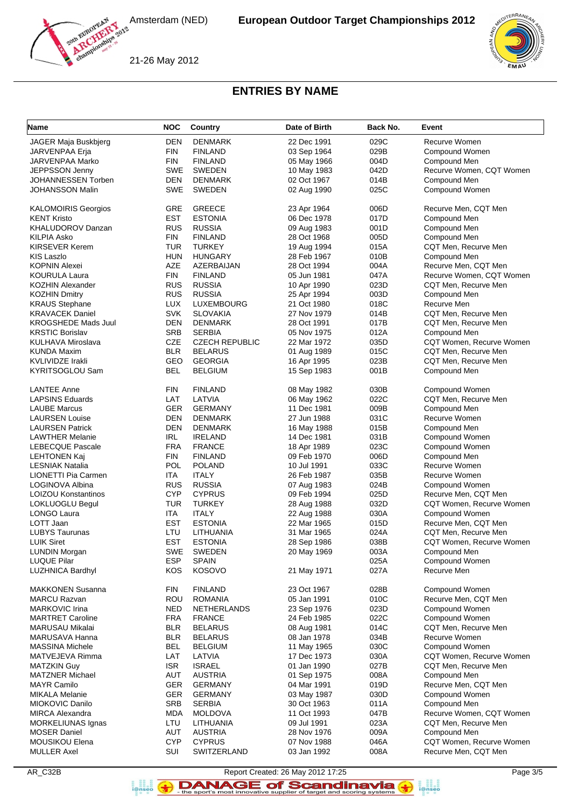Amsterdam (NED)



21-26 May 2012

# **ENTRIES BY NAME**

| Name                       | <b>NOC</b>               | Country               | Date of Birth | Back No. | Event                    |
|----------------------------|--------------------------|-----------------------|---------------|----------|--------------------------|
| JAGER Maja Buskbjerg       | <b>DEN</b>               | <b>DENMARK</b>        | 22 Dec 1991   | 029C     | Recurve Women            |
| JARVENPAA Erja             | <b>FIN</b>               | <b>FINLAND</b>        | 03 Sep 1964   | 029B     | Compound Women           |
| JARVENPAA Marko            | <b>FIN</b>               | <b>FINLAND</b>        | 05 May 1966   | 004D     | Compound Men             |
| JEPPSSON Jenny             | <b>SWE</b>               | <b>SWEDEN</b>         | 10 May 1983   | 042D     | Recurve Women, CQT Women |
| JOHANNESSEN Torben         | DEN                      | <b>DENMARK</b>        | 02 Oct 1967   | 014B     | Compound Men             |
| <b>JOHANSSON Malin</b>     | <b>SWE</b>               | <b>SWEDEN</b>         |               | 025C     |                          |
|                            |                          |                       | 02 Aug 1990   |          | Compound Women           |
| <b>KALOMOIRIS Georgios</b> | GRE                      | <b>GREECE</b>         | 23 Apr 1964   | 006D     | Recurve Men, CQT Men     |
| <b>KENT Kristo</b>         | <b>EST</b>               | <b>ESTONIA</b>        | 06 Dec 1978   | 017D     | Compound Men             |
|                            | <b>RUS</b>               | <b>RUSSIA</b>         | 09 Aug 1983   |          |                          |
| <b>KHALUDOROV Danzan</b>   |                          |                       |               | 001D     | Compound Men             |
| KILPIA Asko                | <b>FIN</b>               | <b>FINLAND</b>        | 28 Oct 1968   | 005D     | Compound Men             |
| <b>KIRSEVER Kerem</b>      | <b>TUR</b>               | <b>TURKEY</b>         | 19 Aug 1994   | 015A     | CQT Men, Recurve Men     |
| KIS Laszlo                 | <b>HUN</b>               | <b>HUNGARY</b>        | 28 Feb 1967   | 010B     | Compound Men             |
| <b>KOPNIN Alexei</b>       | AZE                      | AZERBAIJAN            | 28 Oct 1994   | 004A     | Recurve Men, CQT Men     |
| <b>KOURULA Laura</b>       | <b>FIN</b>               | <b>FINLAND</b>        | 05 Jun 1981   | 047A     | Recurve Women, CQT Women |
| KOZHIN Alexander           | <b>RUS</b>               | <b>RUSSIA</b>         | 10 Apr 1990   | 023D     | CQT Men, Recurve Men     |
| <b>KOZHIN Dmitry</b>       | <b>RUS</b>               | <b>RUSSIA</b>         | 25 Apr 1994   | 003D     | Compound Men             |
| <b>KRAUS Stephane</b>      | <b>LUX</b>               | LUXEMBOURG            | 21 Oct 1980   | 018C     | Recurve Men              |
| <b>KRAVACEK Daniel</b>     | <b>SVK</b>               | <b>SLOVAKIA</b>       | 27 Nov 1979   | 014B     | CQT Men, Recurve Men     |
| <b>KROGSHEDE Mads Juul</b> | DEN                      | <b>DENMARK</b>        | 28 Oct 1991   | 017B     | CQT Men, Recurve Men     |
| <b>KRSTIC Borislav</b>     | <b>SRB</b>               | <b>SERBIA</b>         | 05 Nov 1975   | 012A     | Compound Men             |
| <b>KULHAVA Miroslava</b>   | CZE                      | <b>CZECH REPUBLIC</b> | 22 Mar 1972   | 035D     | CQT Women, Recurve Women |
| <b>KUNDA Maxim</b>         | <b>BLR</b>               | <b>BELARUS</b>        | 01 Aug 1989   | 015C     | CQT Men, Recurve Men     |
| <b>KVLIVIDZE Irakli</b>    | GEO                      | <b>GEORGIA</b>        | 16 Apr 1995   | 023B     | CQT Men, Recurve Men     |
| <b>KYRITSOGLOU Sam</b>     | <b>BEL</b>               | <b>BELGIUM</b>        | 15 Sep 1983   | 001B     | Compound Men             |
|                            |                          |                       |               |          |                          |
| <b>LANTEE Anne</b>         | <b>FIN</b>               | <b>FINLAND</b>        | 08 May 1982   | 030B     | Compound Women           |
| <b>LAPSINS Eduards</b>     | LAT                      | LATVIA                | 06 May 1962   | 022C     | CQT Men, Recurve Men     |
| <b>LAUBE Marcus</b>        | <b>GER</b>               | <b>GERMANY</b>        | 11 Dec 1981   | 009B     | Compound Men             |
| <b>LAURSEN Louise</b>      | <b>DEN</b>               | <b>DENMARK</b>        | 27 Jun 1988   | 031C     | Recurve Women            |
|                            |                          |                       |               |          |                          |
| <b>LAURSEN Patrick</b>     | <b>DEN</b><br><b>IRL</b> | <b>DENMARK</b>        | 16 May 1988   | 015B     | Compound Men             |
| <b>LAWTHER Melanie</b>     |                          | <b>IRELAND</b>        | 14 Dec 1981   | 031B     | Compound Women           |
| <b>LEBECQUE Pascale</b>    | <b>FRA</b>               | <b>FRANCE</b>         | 18 Apr 1989   | 023C     | Compound Women           |
| <b>LEHTONEN Kaj</b>        | <b>FIN</b>               | <b>FINLAND</b>        | 09 Feb 1970   | 006D     | Compound Men             |
| <b>LESNIAK Natalia</b>     | <b>POL</b>               | <b>POLAND</b>         | 10 Jul 1991   | 033C     | Recurve Women            |
| LIONETTI Pia Carmen        | <b>ITA</b>               | <b>ITALY</b>          | 26 Feb 1987   | 035B     | Recurve Women            |
| LOGINOVA Albina            | <b>RUS</b>               | <b>RUSSIA</b>         | 07 Aug 1983   | 024B     | Compound Women           |
| <b>LOIZOU Konstantinos</b> | <b>CYP</b>               | <b>CYPRUS</b>         | 09 Feb 1994   | 025D     | Recurve Men, CQT Men     |
| LOKLUOGLU Begul            | <b>TUR</b>               | <b>TURKEY</b>         | 28 Aug 1988   | 032D     | CQT Women, Recurve Women |
| LONGO Laura                | <b>ITA</b>               | <b>ITALY</b>          | 22 Aug 1988   | 030A     | Compound Women           |
| LOTT Jaan                  | <b>EST</b>               | <b>ESTONIA</b>        | 22 Mar 1965   | 015D     | Recurve Men, CQT Men     |
| <b>LUBYS Taurunas</b>      | LTU                      | LITHUANIA             | 31 Mar 1965   | 024A     | CQT Men, Recurve Men     |
| <b>LUIK Siret</b>          | <b>EST</b>               | <b>ESTONIA</b>        | 28 Sep 1986   | 038B     | CQT Women, Recurve Women |
| <b>LUNDIN Morgan</b>       | SWE                      | <b>SWEDEN</b>         | 20 May 1969   | 003A     | Compound Men             |
| <b>LUQUE Pilar</b>         | <b>ESP</b>               | <b>SPAIN</b>          |               | 025A     | Compound Women           |
| <b>LUZHNICA Bardhyl</b>    | KOS                      | <b>KOSOVO</b>         | 21 May 1971   | 027A     | Recurve Men              |
|                            |                          |                       |               |          |                          |
| <b>MAKKONEN Susanna</b>    | <b>FIN</b>               | <b>FINLAND</b>        | 23 Oct 1967   | 028B     | Compound Women           |
| <b>MARCU Razvan</b>        | <b>ROU</b>               | <b>ROMANIA</b>        | 05 Jan 1991   | 010C     | Recurve Men, CQT Men     |
| <b>MARKOVIC Irina</b>      | NED                      | <b>NETHERLANDS</b>    | 23 Sep 1976   | 023D     | Compound Women           |
| <b>MARTRET Caroline</b>    | <b>FRA</b>               | <b>FRANCE</b>         | 24 Feb 1985   | 022C     | Compound Women           |
| <b>MARUSAU Mikalai</b>     | <b>BLR</b>               | <b>BELARUS</b>        | 08 Aug 1981   | 014C     | CQT Men, Recurve Men     |
| MARUSAVA Hanna             | <b>BLR</b>               | <b>BELARUS</b>        | 08 Jan 1978   | 034B     | Recurve Women            |
| <b>MASSINA Michele</b>     | <b>BEL</b>               | <b>BELGIUM</b>        | 11 May 1965   | 030C     | Compound Women           |
| MATVEJEVA Rimma            | LAT                      | LATVIA                | 17 Dec 1973   | 030A     | CQT Women, Recurve Women |
| <b>MATZKIN Guy</b>         | <b>ISR</b>               | <b>ISRAEL</b>         | 01 Jan 1990   | 027B     | CQT Men, Recurve Men     |
| <b>MATZNER Michael</b>     | AUT                      | <b>AUSTRIA</b>        | 01 Sep 1975   | 008A     | Compound Men             |
| <b>MAYR Camilo</b>         | <b>GER</b>               | <b>GERMANY</b>        | 04 Mar 1991   | 019D     | Recurve Men, CQT Men     |
|                            |                          |                       |               |          |                          |
| <b>MIKALA Melanie</b>      | <b>GER</b>               | <b>GERMANY</b>        | 03 May 1987   | 030D     | Compound Women           |
| MIOKOVIC Danilo            | <b>SRB</b>               | <b>SERBIA</b>         | 30 Oct 1963   | 011A     | Compound Men             |
| <b>MIRCA Alexandra</b>     | MDA                      | <b>MOLDOVA</b>        | 11 Oct 1993   | 047B     | Recurve Women, CQT Women |
| MORKELIUNAS Ignas          | LTU                      | LITHUANIA             | 09 Jul 1991   | 023A     | CQT Men, Recurve Men     |
| <b>MOSER Daniel</b>        | AUT                      | <b>AUSTRIA</b>        | 28 Nov 1976   | 009A     | Compound Men             |
| <b>MOUSIKOU Elena</b>      | <b>CYP</b>               | <b>CYPRUS</b>         | 07 Nov 1988   | 046A     | CQT Women, Recurve Women |
| <b>MULLER Axel</b>         | <b>SUI</b>               | SWITZERLAND           | 03 Jan 1992   | 008A     | Recurve Men, CQT Men     |

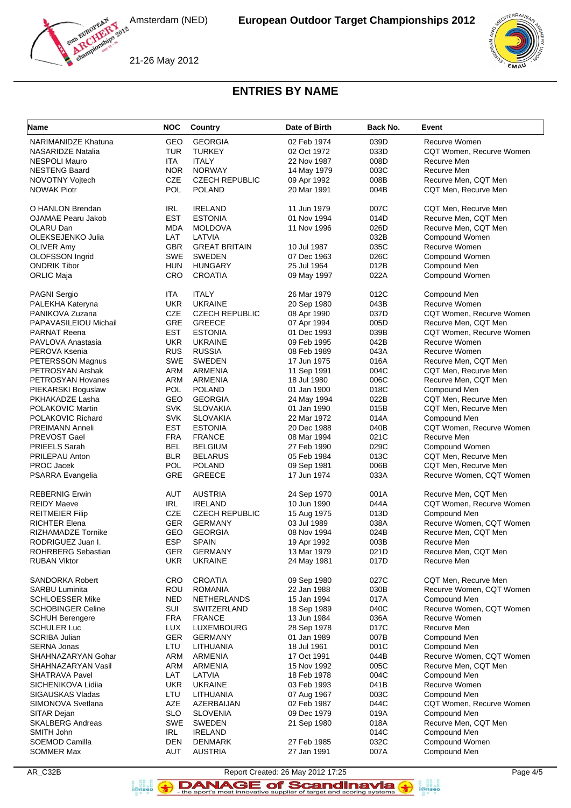





# **ENTRIES BY NAME**

| Name                       | <b>NOC</b>         | Country               | Date of Birth              | Back No. | Event                    |
|----------------------------|--------------------|-----------------------|----------------------------|----------|--------------------------|
| <b>NARIMANIDZE Khatuna</b> | GEO                | <b>GEORGIA</b>        | 02 Feb 1974                | 039D     | Recurve Women            |
| <b>NASARIDZE Natalia</b>   | <b>TUR</b>         | <b>TURKEY</b>         | 02 Oct 1972                | 033D     | CQT Women, Recurve Women |
| <b>NESPOLI Mauro</b>       | ITA.               | <b>ITALY</b>          | 22 Nov 1987                | 008D     | Recurve Men              |
| <b>NESTENG Baard</b>       | <b>NOR</b>         | <b>NORWAY</b>         | 14 May 1979                | 003C     | Recurve Men              |
| NOVOTNY Voitech            | <b>CZE</b>         | <b>CZECH REPUBLIC</b> |                            | 008B     | Recurve Men, CQT Men     |
| <b>NOWAK Piotr</b>         | <b>POL</b>         | <b>POLAND</b>         | 09 Apr 1992<br>20 Mar 1991 | 004B     | CQT Men, Recurve Men     |
|                            |                    |                       |                            |          |                          |
| O HANLON Brendan           | IRL                | <b>IRELAND</b>        | 11 Jun 1979                | 007C     | CQT Men, Recurve Men     |
| <b>OJAMAE Pearu Jakob</b>  | <b>EST</b>         | <b>ESTONIA</b>        | 01 Nov 1994                | 014D     | Recurve Men, CQT Men     |
| OLARU Dan                  | <b>MDA</b>         | <b>MOLDOVA</b>        | 11 Nov 1996                | 026D     | Recurve Men, CQT Men     |
| OLEKSEJENKO Julia          | LAT                | LATVIA                |                            | 032B     | Compound Women           |
| <b>OLIVER Amy</b>          | <b>GBR</b>         | <b>GREAT BRITAIN</b>  | 10 Jul 1987                | 035C     | Recurve Women            |
| <b>OLOFSSON Ingrid</b>     | <b>SWE</b>         | <b>SWEDEN</b>         | 07 Dec 1963                | 026C     | Compound Women           |
| <b>ONDRIK Tibor</b>        | <b>HUN</b>         | <b>HUNGARY</b>        | 25 Jul 1964                | 012B     | Compound Men             |
| <b>ORLIC Maja</b>          | CRO                | <b>CROATIA</b>        | 09 May 1997                | 022A     | Compound Women           |
|                            |                    |                       |                            |          |                          |
| PAGNI Sergio               | ITA                | <b>ITALY</b>          | 26 Mar 1979                | 012C     | Compound Men             |
| PALEKHA Kateryna           | <b>UKR</b>         | <b>UKRAINE</b>        | 20 Sep 1980                | 043B     | Recurve Women            |
| PANIKOVA Zuzana            | <b>CZE</b>         | <b>CZECH REPUBLIC</b> | 08 Apr 1990                | 037D     | CQT Women, Recurve Women |
| PAPAVASILEIOU Michail      | GRE                | <b>GREECE</b>         | 07 Apr 1994                | 005D     | Recurve Men, CQT Men     |
| <b>PARNAT Reena</b>        | <b>EST</b>         | <b>ESTONIA</b>        | 01 Dec 1993                | 039B     | CQT Women, Recurve Women |
| PAVLOVA Anastasia          | <b>UKR</b>         | <b>UKRAINE</b>        | 09 Feb 1995                | 042B     | Recurve Women            |
| PEROVA Ksenia              | <b>RUS</b>         | <b>RUSSIA</b>         | 08 Feb 1989                | 043A     | Recurve Women            |
| PETERSSON Magnus           | <b>SWE</b>         | <b>SWEDEN</b>         | 17 Jun 1975                | 016A     | Recurve Men, CQT Men     |
| PETROSYAN Arshak           | <b>ARM</b>         | <b>ARMENIA</b>        | 11 Sep 1991                | 004C     | CQT Men, Recurve Men     |
| PETROSYAN Hovanes          | ARM                | ARMENIA               | 18 Jul 1980                | 006C     | Recurve Men, CQT Men     |
| PIEKARSKI Boguslaw         | <b>POL</b>         | <b>POLAND</b>         | 01 Jan 1900                | 018C     | Compound Men             |
| PKHAKADZE Lasha            | GEO                | <b>GEORGIA</b>        | 24 May 1994                | 022B     | CQT Men, Recurve Men     |
| POLAKOVIC Martin           | <b>SVK</b>         | <b>SLOVAKIA</b>       | 01 Jan 1990                | 015B     | CQT Men, Recurve Men     |
| POLAKOVIC Richard          | <b>SVK</b>         | <b>SLOVAKIA</b>       | 22 Mar 1972                | 014A     | Compound Men             |
| PREIMANN Anneli            | <b>EST</b>         | <b>ESTONIA</b>        | 20 Dec 1988                | 040B     | CQT Women, Recurve Women |
| PREVOST Gael               | <b>FRA</b>         | <b>FRANCE</b>         | 08 Mar 1994                | 021C     | Recurve Men              |
| PRIEELS Sarah              | <b>BEL</b>         | <b>BELGIUM</b>        | 27 Feb 1990                | 029C     | Compound Women           |
| PRILEPAU Anton             | <b>BLR</b>         | <b>BELARUS</b>        | 05 Feb 1984                | 013C     | CQT Men, Recurve Men     |
| PROC Jacek                 | <b>POL</b>         | <b>POLAND</b>         | 09 Sep 1981                | 006B     | CQT Men, Recurve Men     |
| PSARRA Evangelia           | GRE                | <b>GREECE</b>         | 17 Jun 1974                | 033A     | Recurve Women, CQT Women |
|                            |                    |                       |                            |          |                          |
| <b>REBERNIG Erwin</b>      | AUT                | <b>AUSTRIA</b>        | 24 Sep 1970                | 001A     | Recurve Men, CQT Men     |
| <b>REIDY Maeve</b>         | IRL                | <b>IRELAND</b>        | 10 Jun 1990                | 044A     | CQT Women, Recurve Women |
| <b>REITMEIER Filip</b>     | CZE                | <b>CZECH REPUBLIC</b> | 15 Aug 1975                | 013D     | Compound Men             |
| RICHTER Elena              | <b>GER</b>         | <b>GERMANY</b>        | 03 Jul 1989                | 038A     | Recurve Women, CQT Women |
| RIZHAMADZE Tornike         | GEO                | <b>GEORGIA</b>        | 08 Nov 1994                | 024B     | Recurve Men, CQT Men     |
| RODRIGUEZ Juan I.          | <b>ESP</b>         | <b>SPAIN</b>          | 19 Apr 1992                | 003B     | Recurve Men              |
| ROHRBERG Sebastian         | <b>GER</b>         | <b>GERMANY</b>        | 13 Mar 1979                | 021D     | Recurve Men, CQT Men     |
| <b>RUBAN Viktor</b>        | <b>UKR</b>         | <b>UKRAINE</b>        | 24 May 1981                | 017D     | Recurve Men              |
| SANDORKA Robert            | CRO                | <b>CROATIA</b>        | 09 Sep 1980                | 027C     | CQT Men, Recurve Men     |
| <b>SARBU Luminita</b>      | ROU                | <b>ROMANIA</b>        | 22 Jan 1988                | 030B     | Recurve Women, CQT Women |
| <b>SCHLOESSER Mike</b>     | <b>NED</b>         | NETHERLANDS           | 15 Jan 1994                | 017A     | Compound Men             |
| <b>SCHOBINGER Celine</b>   | SUI                | SWITZERLAND           | 18 Sep 1989                | 040C     | Recurve Women, CQT Women |
| <b>SCHUH Berengere</b>     | <b>FRA</b>         | <b>FRANCE</b>         | 13 Jun 1984                | 036A     | Recurve Women            |
| <b>SCHULER Luc</b>         | <b>LUX</b>         | LUXEMBOURG            | 28 Sep 1978                | 017C     | Recurve Men              |
| <b>SCRIBA Julian</b>       | <b>GER</b>         | <b>GERMANY</b>        | 01 Jan 1989                | 007B     | Compound Men             |
| <b>SERNA Jonas</b>         | LTU                | LITHUANIA             | 18 Jul 1961                | 001C     | Compound Men             |
| SHAHNAZARYAN Gohar         | ARM                | <b>ARMENIA</b>        | 17 Oct 1991                | 044B     | Recurve Women, CQT Women |
| SHAHNAZARYAN Vasil         | ARM                | ARMENIA               | 15 Nov 1992                | 005C     | Recurve Men, CQT Men     |
| <b>SHATRAVA Pavel</b>      | LAT                | LATVIA                | 18 Feb 1978                | 004C     | Compound Men             |
| SICHENIKOVA Lidiia         | <b>UKR</b>         | <b>UKRAINE</b>        | 03 Feb 1993                | 041B     | Recurve Women            |
| SIGAUSKAS Vladas           | LTU                | LITHUANIA             | 07 Aug 1967                | 003C     | Compound Men             |
| SIMONOVA Svetlana          | AZE                | AZERBAIJAN            | 02 Feb 1987                | 044C     | CQT Women, Recurve Women |
| SITAR Dejan                | <b>SLO</b>         | <b>SLOVENIA</b>       | 09 Dec 1979                | 019A     | Compound Men             |
| <b>SKALBERG Andreas</b>    | <b>SWE</b>         | SWEDEN                | 21 Sep 1980                | 018A     | Recurve Men, CQT Men     |
|                            |                    |                       |                            |          |                          |
| SMITH John                 | IRL.<br><b>DEN</b> | <b>IRELAND</b>        |                            | 014C     | Compound Men             |
| SOEMOD Camilla             |                    | <b>DENMARK</b>        | 27 Feb 1985                | 032C     | Compound Women           |
| SOMMER Max                 | AUT                | <b>AUSTRIA</b>        | 27 Jan 1991                | 007A     | Compound Men             |